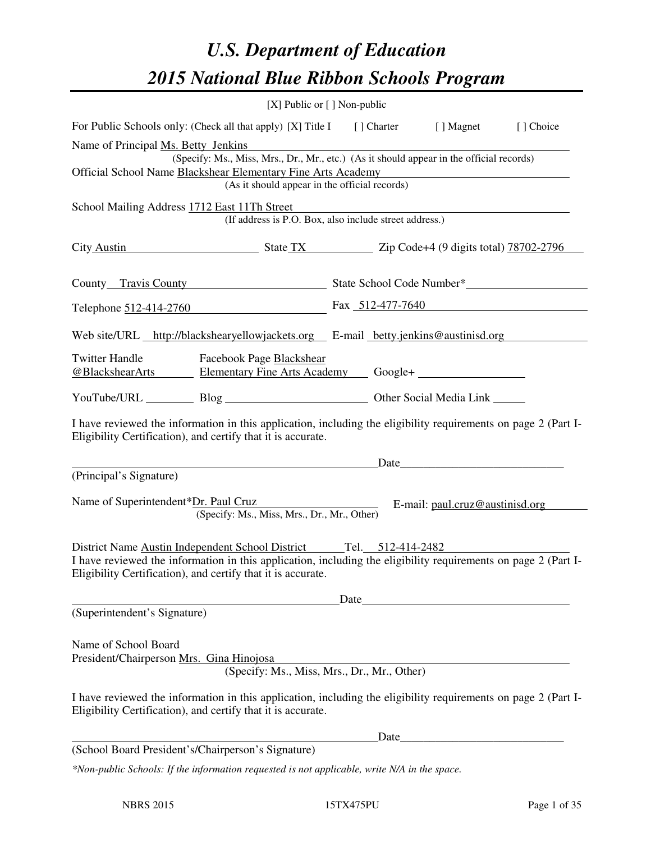# *U.S. Department of Education 2015 National Blue Ribbon Schools Program*

|                                                                                                                                                                                | [X] Public or [] Non-public                                                                                    |  |  |  |  |  |  |
|--------------------------------------------------------------------------------------------------------------------------------------------------------------------------------|----------------------------------------------------------------------------------------------------------------|--|--|--|--|--|--|
| For Public Schools only: (Check all that apply) [X] Title I [] Charter [] Magnet                                                                                               | [] Choice                                                                                                      |  |  |  |  |  |  |
| Name of Principal Ms. Betty Jenkins<br>(Specify: Ms., Miss, Mrs., Dr., Mr., etc.) (As it should appear in the official records)                                                |                                                                                                                |  |  |  |  |  |  |
| Official School Name Blackshear Elementary Fine Arts Academy<br>(As it should appear in the official records)                                                                  |                                                                                                                |  |  |  |  |  |  |
| School Mailing Address 1712 East 11Th Street<br>(If address is P.O. Box, also include street address.)                                                                         |                                                                                                                |  |  |  |  |  |  |
| City Austin State TX Zip Code+4 (9 digits total) 78702-2796                                                                                                                    |                                                                                                                |  |  |  |  |  |  |
|                                                                                                                                                                                | County Travis County State School Code Number*                                                                 |  |  |  |  |  |  |
|                                                                                                                                                                                | Telephone 512-414-2760 Fax 512-477-7640                                                                        |  |  |  |  |  |  |
|                                                                                                                                                                                | Web site/URL http://blackshearyellowjackets.org E-mail betty.jenkins@austinisd.org                             |  |  |  |  |  |  |
| <b>Twitter Handle</b><br><b>Facebook Page Blackshear</b><br>@BlackshearArts Elementary Fine Arts Academy Google+                                                               |                                                                                                                |  |  |  |  |  |  |
| YouTube/URL Blog Blog Discount Other Social Media Link                                                                                                                         |                                                                                                                |  |  |  |  |  |  |
| Eligibility Certification), and certify that it is accurate.                                                                                                                   | I have reviewed the information in this application, including the eligibility requirements on page 2 (Part I- |  |  |  |  |  |  |
| <u> 1989 - Johann Barn, mars eta bat erroman erroman erroman erroman erroman erroman erroman erroman erroman err</u>                                                           | Date                                                                                                           |  |  |  |  |  |  |
| (Principal's Signature)<br>(Specify: Ms., Miss, Mrs., Dr., Mr., Other)                                                                                                         | Name of Superintendent*Dr. Paul Cruz E-mail: paul.cruz@austinisd.org                                           |  |  |  |  |  |  |
| District Name Austin Independent School District Tel. 512-414-2482                                                                                                             |                                                                                                                |  |  |  |  |  |  |
| Eligibility Certification), and certify that it is accurate.                                                                                                                   | I have reviewed the information in this application, including the eligibility requirements on page 2 (Part I- |  |  |  |  |  |  |
|                                                                                                                                                                                | Date                                                                                                           |  |  |  |  |  |  |
| (Superintendent's Signature)                                                                                                                                                   |                                                                                                                |  |  |  |  |  |  |
| Name of School Board<br>President/Chairperson Mrs. Gina Hinojosa                                                                                                               | (Specify: Ms., Miss, Mrs., Dr., Mr., Other)                                                                    |  |  |  |  |  |  |
| I have reviewed the information in this application, including the eligibility requirements on page 2 (Part I-<br>Eligibility Certification), and certify that it is accurate. |                                                                                                                |  |  |  |  |  |  |
|                                                                                                                                                                                | Date                                                                                                           |  |  |  |  |  |  |
| (School Board President's/Chairperson's Signature)                                                                                                                             |                                                                                                                |  |  |  |  |  |  |
| *Non-public Schools: If the information requested is not applicable, write N/A in the space.                                                                                   |                                                                                                                |  |  |  |  |  |  |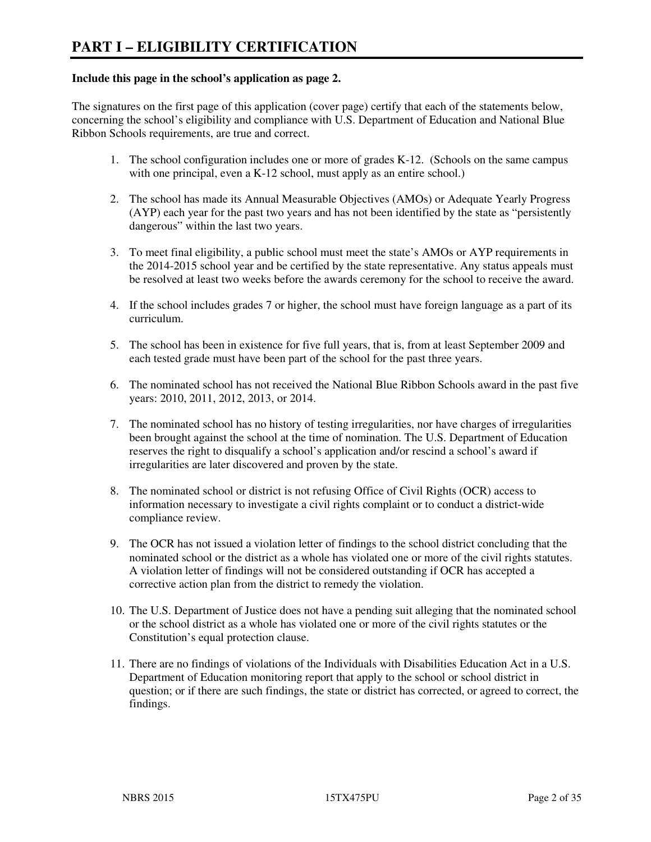#### **Include this page in the school's application as page 2.**

The signatures on the first page of this application (cover page) certify that each of the statements below, concerning the school's eligibility and compliance with U.S. Department of Education and National Blue Ribbon Schools requirements, are true and correct.

- 1. The school configuration includes one or more of grades K-12. (Schools on the same campus with one principal, even a K-12 school, must apply as an entire school.)
- 2. The school has made its Annual Measurable Objectives (AMOs) or Adequate Yearly Progress (AYP) each year for the past two years and has not been identified by the state as "persistently dangerous" within the last two years.
- 3. To meet final eligibility, a public school must meet the state's AMOs or AYP requirements in the 2014-2015 school year and be certified by the state representative. Any status appeals must be resolved at least two weeks before the awards ceremony for the school to receive the award.
- 4. If the school includes grades 7 or higher, the school must have foreign language as a part of its curriculum.
- 5. The school has been in existence for five full years, that is, from at least September 2009 and each tested grade must have been part of the school for the past three years.
- 6. The nominated school has not received the National Blue Ribbon Schools award in the past five years: 2010, 2011, 2012, 2013, or 2014.
- 7. The nominated school has no history of testing irregularities, nor have charges of irregularities been brought against the school at the time of nomination. The U.S. Department of Education reserves the right to disqualify a school's application and/or rescind a school's award if irregularities are later discovered and proven by the state.
- 8. The nominated school or district is not refusing Office of Civil Rights (OCR) access to information necessary to investigate a civil rights complaint or to conduct a district-wide compliance review.
- 9. The OCR has not issued a violation letter of findings to the school district concluding that the nominated school or the district as a whole has violated one or more of the civil rights statutes. A violation letter of findings will not be considered outstanding if OCR has accepted a corrective action plan from the district to remedy the violation.
- 10. The U.S. Department of Justice does not have a pending suit alleging that the nominated school or the school district as a whole has violated one or more of the civil rights statutes or the Constitution's equal protection clause.
- 11. There are no findings of violations of the Individuals with Disabilities Education Act in a U.S. Department of Education monitoring report that apply to the school or school district in question; or if there are such findings, the state or district has corrected, or agreed to correct, the findings.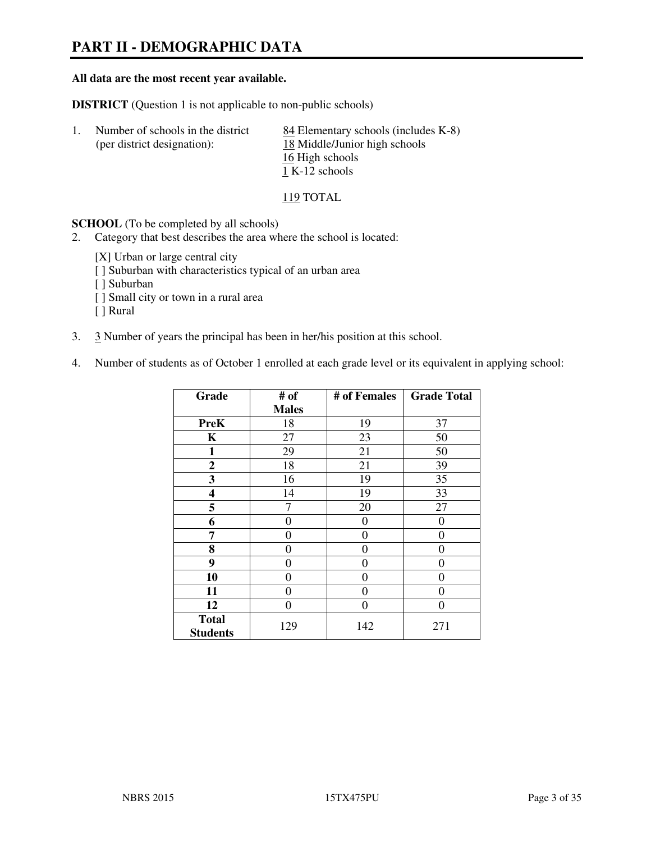# **PART II - DEMOGRAPHIC DATA**

#### **All data are the most recent year available.**

**DISTRICT** (Question 1 is not applicable to non-public schools)

| -1. | Number of schools in the district | 84 Elementary schools (includes K-8) |
|-----|-----------------------------------|--------------------------------------|
|     | (per district designation):       | 18 Middle/Junior high schools        |
|     |                                   | 16 High schools                      |
|     |                                   | 1 K-12 schools                       |

#### 119 TOTAL

**SCHOOL** (To be completed by all schools)

- 2. Category that best describes the area where the school is located:
	- [X] Urban or large central city
	- [ ] Suburban with characteristics typical of an urban area
	- [ ] Suburban
	- [ ] Small city or town in a rural area
	- [ ] Rural
- 3. 3 Number of years the principal has been in her/his position at this school.
- 4. Number of students as of October 1 enrolled at each grade level or its equivalent in applying school:

| Grade                           | # of         | # of Females | <b>Grade Total</b> |
|---------------------------------|--------------|--------------|--------------------|
|                                 | <b>Males</b> |              |                    |
| <b>PreK</b>                     | 18           | 19           | 37                 |
| K                               | 27           | 23           | 50                 |
| $\mathbf{1}$                    | 29           | 21           | 50                 |
| $\mathbf{2}$                    | 18           | 21           | 39                 |
| 3                               | 16           | 19           | 35                 |
| 4                               | 14           | 19           | 33                 |
| 5                               |              | 20           | 27                 |
| 6                               | 0            | 0            | $\theta$           |
| 7                               | 0            | $\Omega$     | 0                  |
| 8                               | 0            | 0            | 0                  |
| 9                               | $\theta$     | 0            | 0                  |
| 10                              | 0            | 0            | 0                  |
| 11                              | 0            | 0            | $\theta$           |
| 12                              | 0            | 0            | 0                  |
| <b>Total</b><br><b>Students</b> | 129          | 142          | 271                |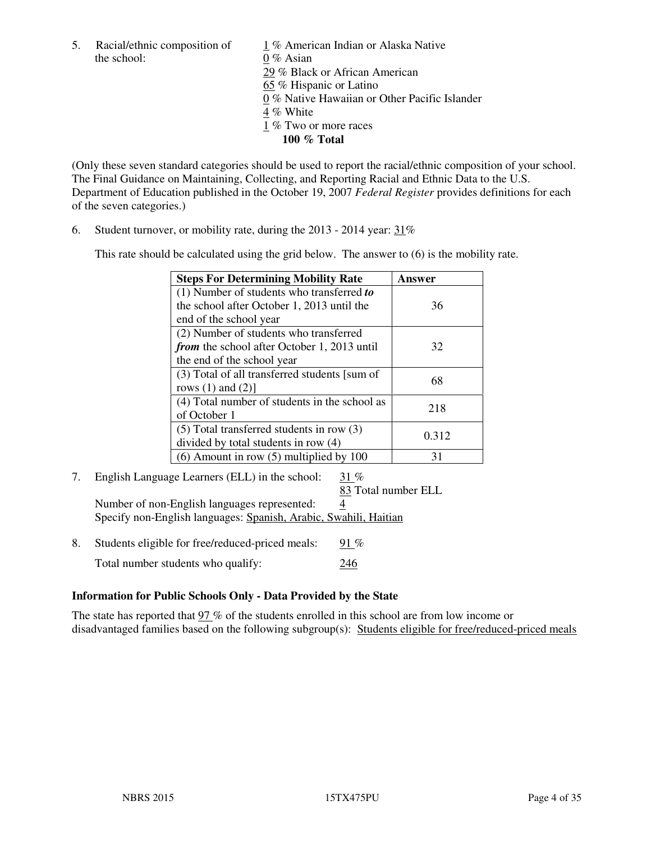the school: 0 % Asian

5. Racial/ethnic composition of  $1\%$  American Indian or Alaska Native 29 % Black or African American 65 % Hispanic or Latino 0 % Native Hawaiian or Other Pacific Islander 4 % White 1 % Two or more races **100 % Total** 

(Only these seven standard categories should be used to report the racial/ethnic composition of your school. The Final Guidance on Maintaining, Collecting, and Reporting Racial and Ethnic Data to the U.S. Department of Education published in the October 19, 2007 *Federal Register* provides definitions for each of the seven categories.)

6. Student turnover, or mobility rate, during the 2013 - 2014 year: 31%

This rate should be calculated using the grid below. The answer to (6) is the mobility rate.

| <b>Steps For Determining Mobility Rate</b>         | Answer |
|----------------------------------------------------|--------|
| $(1)$ Number of students who transferred to        |        |
| the school after October 1, 2013 until the         | 36     |
| end of the school year                             |        |
| (2) Number of students who transferred             |        |
| <i>from</i> the school after October 1, 2013 until | 32     |
| the end of the school year                         |        |
| (3) Total of all transferred students [sum of      | 68     |
| rows $(1)$ and $(2)$ ]                             |        |
| (4) Total number of students in the school as      | 218    |
| of October 1                                       |        |
| $(5)$ Total transferred students in row $(3)$      |        |
| divided by total students in row (4)               | 0.312  |
| $(6)$ Amount in row $(5)$ multiplied by 100        | 31     |

7. English Language Learners (ELL) in the school: 31 %

83 Total number ELL

 Number of non-English languages represented: 4 Specify non-English languages: Spanish, Arabic, Swahili, Haitian

8. Students eligible for free/reduced-priced meals:  $91\%$ Total number students who qualify: 246

## **Information for Public Schools Only - Data Provided by the State**

The state has reported that  $97\%$  of the students enrolled in this school are from low income or disadvantaged families based on the following subgroup(s): Students eligible for free/reduced-priced meals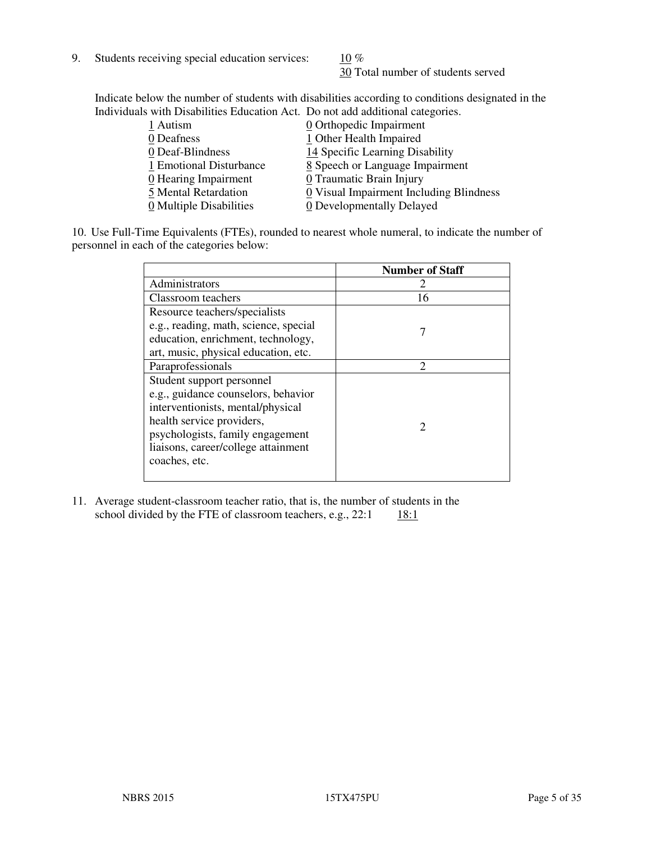9. Students receiving special education services:  $10\%$ 

30 Total number of students served

Indicate below the number of students with disabilities according to conditions designated in the Individuals with Disabilities Education Act. Do not add additional categories.

| 1 Autism                           | 0 Orthopedic Impairment                 |
|------------------------------------|-----------------------------------------|
| 0 Deafness                         | 1 Other Health Impaired                 |
| 0 Deaf-Blindness                   | 14 Specific Learning Disability         |
| 1 Emotional Disturbance            | 8 Speech or Language Impairment         |
| $\underline{0}$ Hearing Impairment | 0 Traumatic Brain Injury                |
| 5 Mental Retardation               | 0 Visual Impairment Including Blindness |
| 0 Multiple Disabilities            | 0 Developmentally Delayed               |
|                                    |                                         |

10. Use Full-Time Equivalents (FTEs), rounded to nearest whole numeral, to indicate the number of personnel in each of the categories below:

|                                       | <b>Number of Staff</b>      |
|---------------------------------------|-----------------------------|
| Administrators                        |                             |
| Classroom teachers                    | 16                          |
| Resource teachers/specialists         |                             |
| e.g., reading, math, science, special |                             |
| education, enrichment, technology,    |                             |
| art, music, physical education, etc.  |                             |
| Paraprofessionals                     | $\mathcal{D}_{\mathcal{L}}$ |
| Student support personnel             |                             |
| e.g., guidance counselors, behavior   |                             |
| interventionists, mental/physical     |                             |
| health service providers,             |                             |
| psychologists, family engagement      |                             |
| liaisons, career/college attainment   |                             |
| coaches, etc.                         |                             |
|                                       |                             |

11. Average student-classroom teacher ratio, that is, the number of students in the school divided by the FTE of classroom teachers, e.g.,  $22:1$  18:1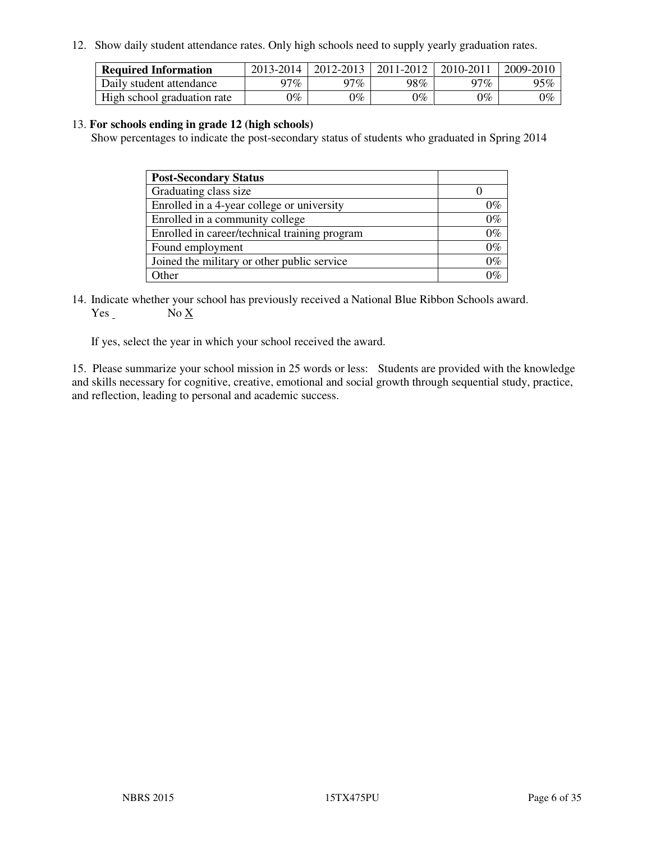12. Show daily student attendance rates. Only high schools need to supply yearly graduation rates.

| <b>Required Information</b> | 2013-2014     | 2012-2013       | 2011-2012 | 2010-2011 | 2009-2010 |
|-----------------------------|---------------|-----------------|-----------|-----------|-----------|
| Daily student attendance    | 97%           | 97%             | 98%       | $17\%$    | 95%       |
| High school graduation rate | $\gamma_{\%}$ | $\mathcal{V}_o$ | $0\%$     | 0%        | 0%        |

#### 13. **For schools ending in grade 12 (high schools)**

Show percentages to indicate the post-secondary status of students who graduated in Spring 2014

| <b>Post-Secondary Status</b>                  |       |
|-----------------------------------------------|-------|
| Graduating class size                         |       |
| Enrolled in a 4-year college or university    | በ‰    |
| Enrolled in a community college               | $0\%$ |
| Enrolled in career/technical training program | $0\%$ |
| Found employment                              | $0\%$ |
| Joined the military or other public service   | 0%    |
| Other                                         |       |

14. Indicate whether your school has previously received a National Blue Ribbon Schools award. Yes No X

If yes, select the year in which your school received the award.

15. Please summarize your school mission in 25 words or less: Students are provided with the knowledge and skills necessary for cognitive, creative, emotional and social growth through sequential study, practice, and reflection, leading to personal and academic success.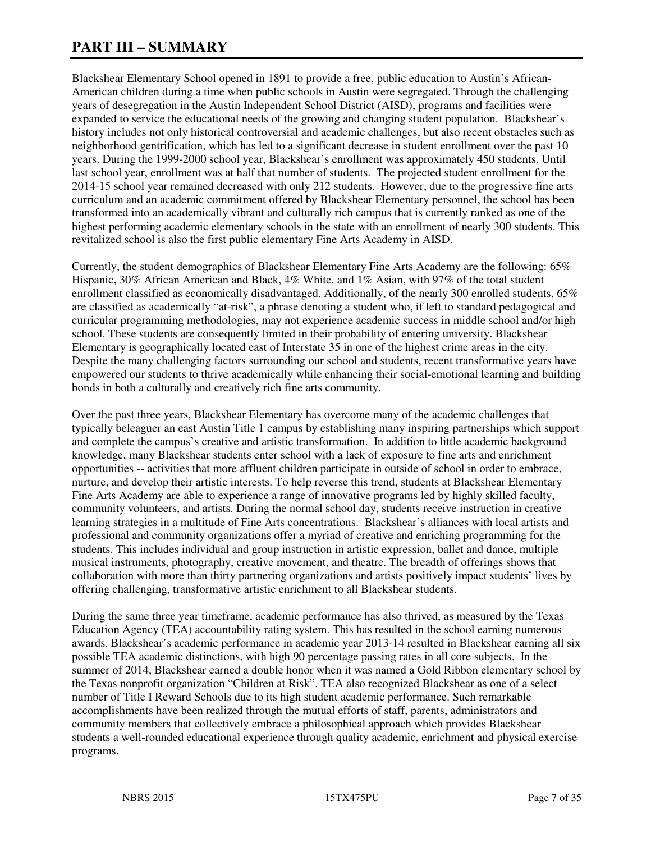# **PART III – SUMMARY**

Blackshear Elementary School opened in 1891 to provide a free, public education to Austin's African-American children during a time when public schools in Austin were segregated. Through the challenging years of desegregation in the Austin Independent School District (AISD), programs and facilities were expanded to service the educational needs of the growing and changing student population. Blackshear's history includes not only historical controversial and academic challenges, but also recent obstacles such as neighborhood gentrification, which has led to a significant decrease in student enrollment over the past 10 years. During the 1999-2000 school year, Blackshear's enrollment was approximately 450 students. Until last school year, enrollment was at half that number of students. The projected student enrollment for the 2014-15 school year remained decreased with only 212 students. However, due to the progressive fine arts curriculum and an academic commitment offered by Blackshear Elementary personnel, the school has been transformed into an academically vibrant and culturally rich campus that is currently ranked as one of the highest performing academic elementary schools in the state with an enrollment of nearly 300 students. This revitalized school is also the first public elementary Fine Arts Academy in AISD.

Currently, the student demographics of Blackshear Elementary Fine Arts Academy are the following: 65% Hispanic, 30% African American and Black, 4% White, and 1% Asian, with 97% of the total student enrollment classified as economically disadvantaged. Additionally, of the nearly 300 enrolled students, 65% are classified as academically "at-risk", a phrase denoting a student who, if left to standard pedagogical and curricular programming methodologies, may not experience academic success in middle school and/or high school. These students are consequently limited in their probability of entering university. Blackshear Elementary is geographically located east of Interstate 35 in one of the highest crime areas in the city. Despite the many challenging factors surrounding our school and students, recent transformative years have empowered our students to thrive academically while enhancing their social-emotional learning and building bonds in both a culturally and creatively rich fine arts community.

Over the past three years, Blackshear Elementary has overcome many of the academic challenges that typically beleaguer an east Austin Title 1 campus by establishing many inspiring partnerships which support and complete the campus's creative and artistic transformation. In addition to little academic background knowledge, many Blackshear students enter school with a lack of exposure to fine arts and enrichment opportunities -- activities that more affluent children participate in outside of school in order to embrace, nurture, and develop their artistic interests. To help reverse this trend, students at Blackshear Elementary Fine Arts Academy are able to experience a range of innovative programs led by highly skilled faculty, community volunteers, and artists. During the normal school day, students receive instruction in creative learning strategies in a multitude of Fine Arts concentrations. Blackshear's alliances with local artists and professional and community organizations offer a myriad of creative and enriching programming for the students. This includes individual and group instruction in artistic expression, ballet and dance, multiple musical instruments, photography, creative movement, and theatre. The breadth of offerings shows that collaboration with more than thirty partnering organizations and artists positively impact students' lives by offering challenging, transformative artistic enrichment to all Blackshear students.

During the same three year timeframe, academic performance has also thrived, as measured by the Texas Education Agency (TEA) accountability rating system. This has resulted in the school earning numerous awards. Blackshear's academic performance in academic year 2013-14 resulted in Blackshear earning all six possible TEA academic distinctions, with high 90 percentage passing rates in all core subjects. In the summer of 2014, Blackshear earned a double honor when it was named a Gold Ribbon elementary school by the Texas nonprofit organization "Children at Risk". TEA also recognized Blackshear as one of a select number of Title I Reward Schools due to its high student academic performance. Such remarkable accomplishments have been realized through the mutual efforts of staff, parents, administrators and community members that collectively embrace a philosophical approach which provides Blackshear students a well-rounded educational experience through quality academic, enrichment and physical exercise programs.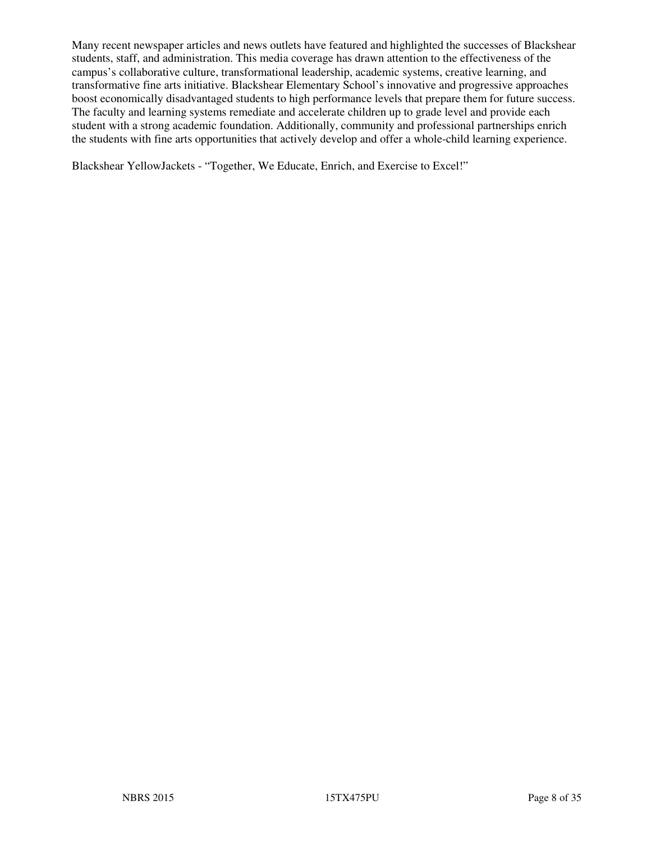Many recent newspaper articles and news outlets have featured and highlighted the successes of Blackshear students, staff, and administration. This media coverage has drawn attention to the effectiveness of the campus's collaborative culture, transformational leadership, academic systems, creative learning, and transformative fine arts initiative. Blackshear Elementary School's innovative and progressive approaches boost economically disadvantaged students to high performance levels that prepare them for future success. The faculty and learning systems remediate and accelerate children up to grade level and provide each student with a strong academic foundation. Additionally, community and professional partnerships enrich the students with fine arts opportunities that actively develop and offer a whole-child learning experience.

Blackshear YellowJackets - "Together, We Educate, Enrich, and Exercise to Excel!"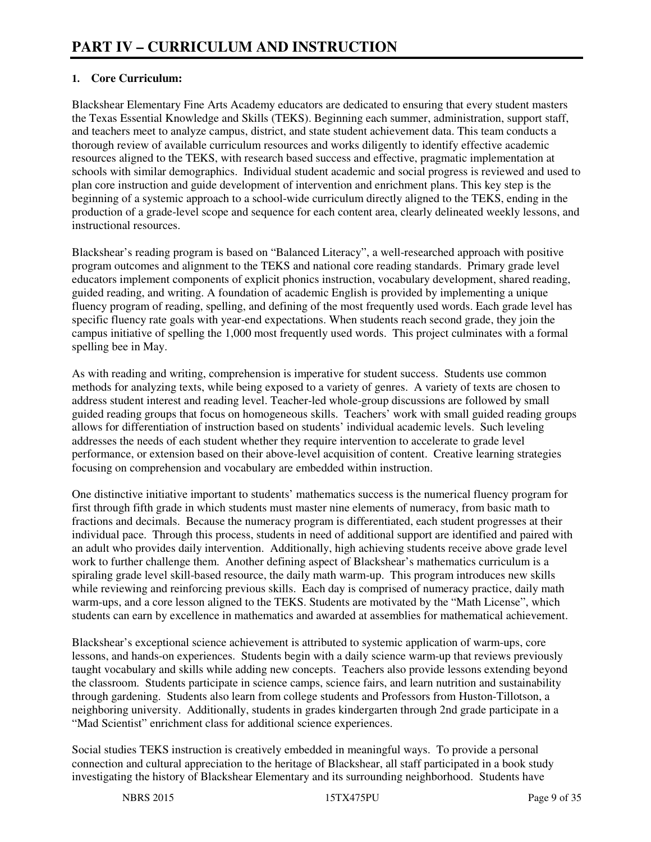## **1. Core Curriculum:**

Blackshear Elementary Fine Arts Academy educators are dedicated to ensuring that every student masters the Texas Essential Knowledge and Skills (TEKS). Beginning each summer, administration, support staff, and teachers meet to analyze campus, district, and state student achievement data. This team conducts a thorough review of available curriculum resources and works diligently to identify effective academic resources aligned to the TEKS, with research based success and effective, pragmatic implementation at schools with similar demographics. Individual student academic and social progress is reviewed and used to plan core instruction and guide development of intervention and enrichment plans. This key step is the beginning of a systemic approach to a school-wide curriculum directly aligned to the TEKS, ending in the production of a grade-level scope and sequence for each content area, clearly delineated weekly lessons, and instructional resources.

Blackshear's reading program is based on "Balanced Literacy", a well-researched approach with positive program outcomes and alignment to the TEKS and national core reading standards. Primary grade level educators implement components of explicit phonics instruction, vocabulary development, shared reading, guided reading, and writing. A foundation of academic English is provided by implementing a unique fluency program of reading, spelling, and defining of the most frequently used words. Each grade level has specific fluency rate goals with year-end expectations. When students reach second grade, they join the campus initiative of spelling the 1,000 most frequently used words. This project culminates with a formal spelling bee in May.

As with reading and writing, comprehension is imperative for student success. Students use common methods for analyzing texts, while being exposed to a variety of genres. A variety of texts are chosen to address student interest and reading level. Teacher-led whole-group discussions are followed by small guided reading groups that focus on homogeneous skills. Teachers' work with small guided reading groups allows for differentiation of instruction based on students' individual academic levels. Such leveling addresses the needs of each student whether they require intervention to accelerate to grade level performance, or extension based on their above-level acquisition of content. Creative learning strategies focusing on comprehension and vocabulary are embedded within instruction.

One distinctive initiative important to students' mathematics success is the numerical fluency program for first through fifth grade in which students must master nine elements of numeracy, from basic math to fractions and decimals. Because the numeracy program is differentiated, each student progresses at their individual pace. Through this process, students in need of additional support are identified and paired with an adult who provides daily intervention. Additionally, high achieving students receive above grade level work to further challenge them. Another defining aspect of Blackshear's mathematics curriculum is a spiraling grade level skill-based resource, the daily math warm-up. This program introduces new skills while reviewing and reinforcing previous skills. Each day is comprised of numeracy practice, daily math warm-ups, and a core lesson aligned to the TEKS. Students are motivated by the "Math License", which students can earn by excellence in mathematics and awarded at assemblies for mathematical achievement.

Blackshear's exceptional science achievement is attributed to systemic application of warm-ups, core lessons, and hands-on experiences. Students begin with a daily science warm-up that reviews previously taught vocabulary and skills while adding new concepts. Teachers also provide lessons extending beyond the classroom. Students participate in science camps, science fairs, and learn nutrition and sustainability through gardening. Students also learn from college students and Professors from Huston-Tillotson, a neighboring university. Additionally, students in grades kindergarten through 2nd grade participate in a "Mad Scientist" enrichment class for additional science experiences.

Social studies TEKS instruction is creatively embedded in meaningful ways. To provide a personal connection and cultural appreciation to the heritage of Blackshear, all staff participated in a book study investigating the history of Blackshear Elementary and its surrounding neighborhood. Students have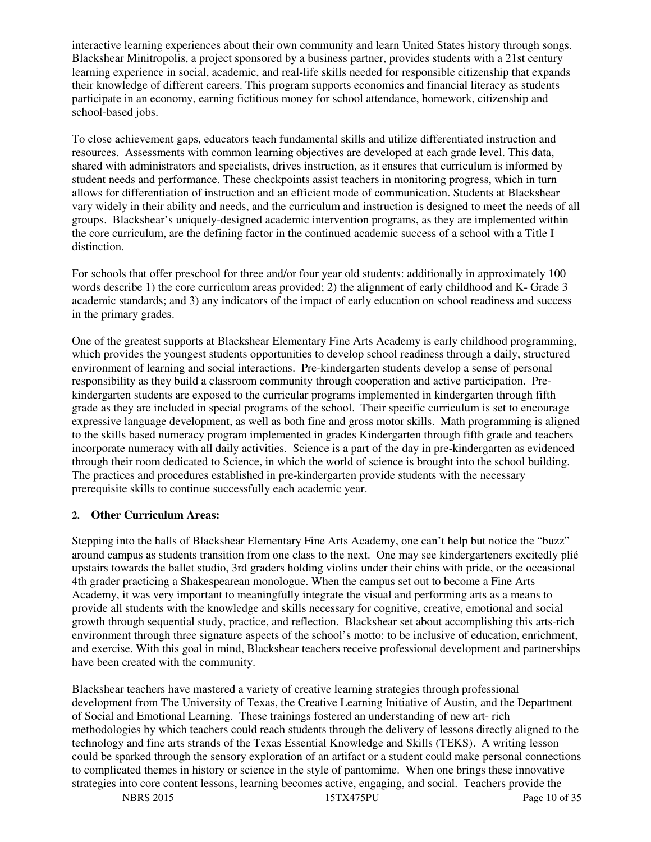interactive learning experiences about their own community and learn United States history through songs. Blackshear Minitropolis, a project sponsored by a business partner, provides students with a 21st century learning experience in social, academic, and real-life skills needed for responsible citizenship that expands their knowledge of different careers. This program supports economics and financial literacy as students participate in an economy, earning fictitious money for school attendance, homework, citizenship and school-based jobs.

To close achievement gaps, educators teach fundamental skills and utilize differentiated instruction and resources. Assessments with common learning objectives are developed at each grade level. This data, shared with administrators and specialists, drives instruction, as it ensures that curriculum is informed by student needs and performance. These checkpoints assist teachers in monitoring progress, which in turn allows for differentiation of instruction and an efficient mode of communication. Students at Blackshear vary widely in their ability and needs, and the curriculum and instruction is designed to meet the needs of all groups. Blackshear's uniquely-designed academic intervention programs, as they are implemented within the core curriculum, are the defining factor in the continued academic success of a school with a Title I distinction.

For schools that offer preschool for three and/or four year old students: additionally in approximately 100 words describe 1) the core curriculum areas provided; 2) the alignment of early childhood and K- Grade 3 academic standards; and 3) any indicators of the impact of early education on school readiness and success in the primary grades.

One of the greatest supports at Blackshear Elementary Fine Arts Academy is early childhood programming, which provides the youngest students opportunities to develop school readiness through a daily, structured environment of learning and social interactions. Pre-kindergarten students develop a sense of personal responsibility as they build a classroom community through cooperation and active participation. Prekindergarten students are exposed to the curricular programs implemented in kindergarten through fifth grade as they are included in special programs of the school. Their specific curriculum is set to encourage expressive language development, as well as both fine and gross motor skills. Math programming is aligned to the skills based numeracy program implemented in grades Kindergarten through fifth grade and teachers incorporate numeracy with all daily activities. Science is a part of the day in pre-kindergarten as evidenced through their room dedicated to Science, in which the world of science is brought into the school building. The practices and procedures established in pre-kindergarten provide students with the necessary prerequisite skills to continue successfully each academic year.

## **2. Other Curriculum Areas:**

Stepping into the halls of Blackshear Elementary Fine Arts Academy, one can't help but notice the "buzz" around campus as students transition from one class to the next. One may see kindergarteners excitedly plié upstairs towards the ballet studio, 3rd graders holding violins under their chins with pride, or the occasional 4th grader practicing a Shakespearean monologue. When the campus set out to become a Fine Arts Academy, it was very important to meaningfully integrate the visual and performing arts as a means to provide all students with the knowledge and skills necessary for cognitive, creative, emotional and social growth through sequential study, practice, and reflection. Blackshear set about accomplishing this arts-rich environment through three signature aspects of the school's motto: to be inclusive of education, enrichment, and exercise. With this goal in mind, Blackshear teachers receive professional development and partnerships have been created with the community.

Blackshear teachers have mastered a variety of creative learning strategies through professional development from The University of Texas, the Creative Learning Initiative of Austin, and the Department of Social and Emotional Learning. These trainings fostered an understanding of new art- rich methodologies by which teachers could reach students through the delivery of lessons directly aligned to the technology and fine arts strands of the Texas Essential Knowledge and Skills (TEKS). A writing lesson could be sparked through the sensory exploration of an artifact or a student could make personal connections to complicated themes in history or science in the style of pantomime. When one brings these innovative strategies into core content lessons, learning becomes active, engaging, and social. Teachers provide the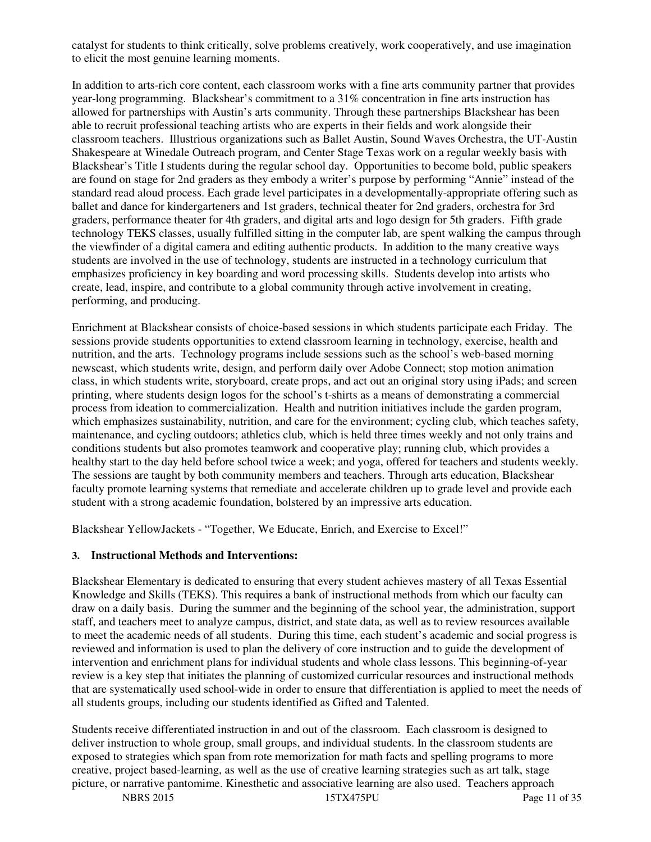catalyst for students to think critically, solve problems creatively, work cooperatively, and use imagination to elicit the most genuine learning moments.

In addition to arts-rich core content, each classroom works with a fine arts community partner that provides year-long programming. Blackshear's commitment to a 31% concentration in fine arts instruction has allowed for partnerships with Austin's arts community. Through these partnerships Blackshear has been able to recruit professional teaching artists who are experts in their fields and work alongside their classroom teachers. Illustrious organizations such as Ballet Austin, Sound Waves Orchestra, the UT-Austin Shakespeare at Winedale Outreach program, and Center Stage Texas work on a regular weekly basis with Blackshear's Title I students during the regular school day. Opportunities to become bold, public speakers are found on stage for 2nd graders as they embody a writer's purpose by performing "Annie" instead of the standard read aloud process. Each grade level participates in a developmentally-appropriate offering such as ballet and dance for kindergarteners and 1st graders, technical theater for 2nd graders, orchestra for 3rd graders, performance theater for 4th graders, and digital arts and logo design for 5th graders. Fifth grade technology TEKS classes, usually fulfilled sitting in the computer lab, are spent walking the campus through the viewfinder of a digital camera and editing authentic products. In addition to the many creative ways students are involved in the use of technology, students are instructed in a technology curriculum that emphasizes proficiency in key boarding and word processing skills. Students develop into artists who create, lead, inspire, and contribute to a global community through active involvement in creating, performing, and producing.

Enrichment at Blackshear consists of choice-based sessions in which students participate each Friday. The sessions provide students opportunities to extend classroom learning in technology, exercise, health and nutrition, and the arts. Technology programs include sessions such as the school's web-based morning newscast, which students write, design, and perform daily over Adobe Connect; stop motion animation class, in which students write, storyboard, create props, and act out an original story using iPads; and screen printing, where students design logos for the school's t-shirts as a means of demonstrating a commercial process from ideation to commercialization. Health and nutrition initiatives include the garden program, which emphasizes sustainability, nutrition, and care for the environment; cycling club, which teaches safety, maintenance, and cycling outdoors; athletics club, which is held three times weekly and not only trains and conditions students but also promotes teamwork and cooperative play; running club, which provides a healthy start to the day held before school twice a week; and yoga, offered for teachers and students weekly. The sessions are taught by both community members and teachers. Through arts education, Blackshear faculty promote learning systems that remediate and accelerate children up to grade level and provide each student with a strong academic foundation, bolstered by an impressive arts education.

Blackshear YellowJackets - "Together, We Educate, Enrich, and Exercise to Excel!"

## **3. Instructional Methods and Interventions:**

Blackshear Elementary is dedicated to ensuring that every student achieves mastery of all Texas Essential Knowledge and Skills (TEKS). This requires a bank of instructional methods from which our faculty can draw on a daily basis. During the summer and the beginning of the school year, the administration, support staff, and teachers meet to analyze campus, district, and state data, as well as to review resources available to meet the academic needs of all students. During this time, each student's academic and social progress is reviewed and information is used to plan the delivery of core instruction and to guide the development of intervention and enrichment plans for individual students and whole class lessons. This beginning-of-year review is a key step that initiates the planning of customized curricular resources and instructional methods that are systematically used school-wide in order to ensure that differentiation is applied to meet the needs of all students groups, including our students identified as Gifted and Talented.

Students receive differentiated instruction in and out of the classroom. Each classroom is designed to deliver instruction to whole group, small groups, and individual students. In the classroom students are exposed to strategies which span from rote memorization for math facts and spelling programs to more creative, project based-learning, as well as the use of creative learning strategies such as art talk, stage picture, or narrative pantomime. Kinesthetic and associative learning are also used. Teachers approach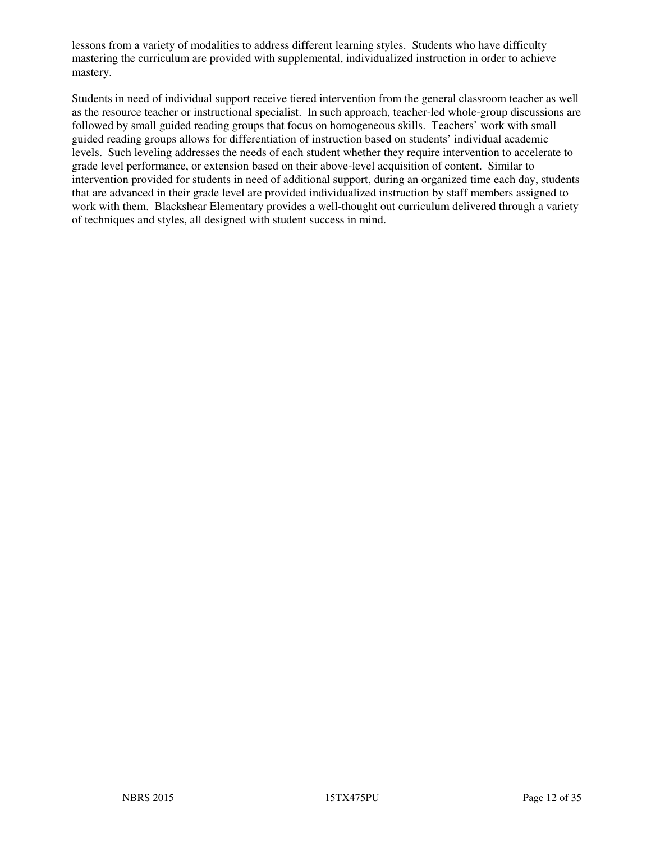lessons from a variety of modalities to address different learning styles. Students who have difficulty mastering the curriculum are provided with supplemental, individualized instruction in order to achieve mastery.

Students in need of individual support receive tiered intervention from the general classroom teacher as well as the resource teacher or instructional specialist. In such approach, teacher-led whole-group discussions are followed by small guided reading groups that focus on homogeneous skills. Teachers' work with small guided reading groups allows for differentiation of instruction based on students' individual academic levels. Such leveling addresses the needs of each student whether they require intervention to accelerate to grade level performance, or extension based on their above-level acquisition of content. Similar to intervention provided for students in need of additional support, during an organized time each day, students that are advanced in their grade level are provided individualized instruction by staff members assigned to work with them. Blackshear Elementary provides a well-thought out curriculum delivered through a variety of techniques and styles, all designed with student success in mind.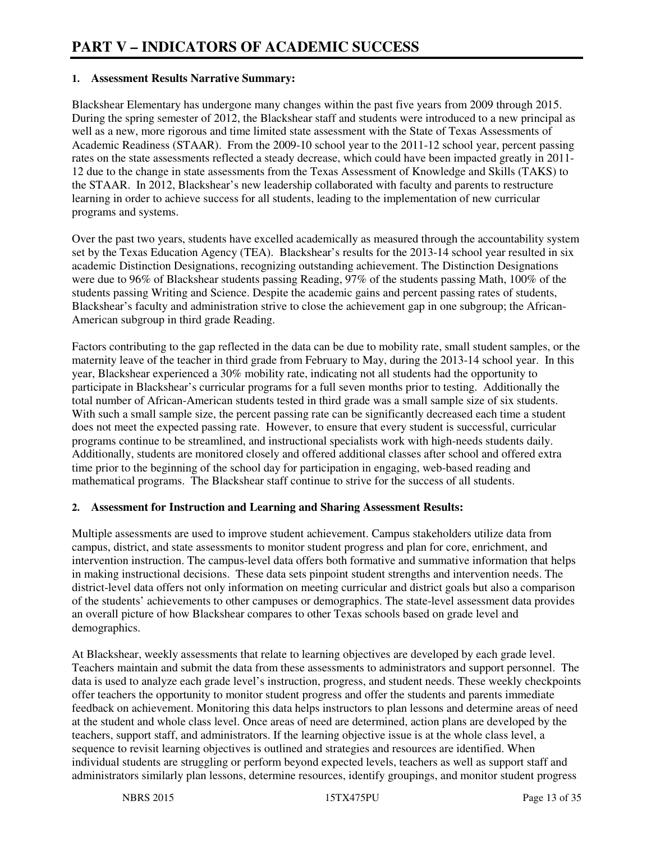#### **1. Assessment Results Narrative Summary:**

Blackshear Elementary has undergone many changes within the past five years from 2009 through 2015. During the spring semester of 2012, the Blackshear staff and students were introduced to a new principal as well as a new, more rigorous and time limited state assessment with the State of Texas Assessments of Academic Readiness (STAAR). From the 2009-10 school year to the 2011-12 school year, percent passing rates on the state assessments reflected a steady decrease, which could have been impacted greatly in 2011- 12 due to the change in state assessments from the Texas Assessment of Knowledge and Skills (TAKS) to the STAAR. In 2012, Blackshear's new leadership collaborated with faculty and parents to restructure learning in order to achieve success for all students, leading to the implementation of new curricular programs and systems.

Over the past two years, students have excelled academically as measured through the accountability system set by the Texas Education Agency (TEA). Blackshear's results for the 2013-14 school year resulted in six academic Distinction Designations, recognizing outstanding achievement. The Distinction Designations were due to 96% of Blackshear students passing Reading, 97% of the students passing Math, 100% of the students passing Writing and Science. Despite the academic gains and percent passing rates of students, Blackshear's faculty and administration strive to close the achievement gap in one subgroup; the African-American subgroup in third grade Reading.

Factors contributing to the gap reflected in the data can be due to mobility rate, small student samples, or the maternity leave of the teacher in third grade from February to May, during the 2013-14 school year. In this year, Blackshear experienced a 30% mobility rate, indicating not all students had the opportunity to participate in Blackshear's curricular programs for a full seven months prior to testing. Additionally the total number of African-American students tested in third grade was a small sample size of six students. With such a small sample size, the percent passing rate can be significantly decreased each time a student does not meet the expected passing rate. However, to ensure that every student is successful, curricular programs continue to be streamlined, and instructional specialists work with high-needs students daily. Additionally, students are monitored closely and offered additional classes after school and offered extra time prior to the beginning of the school day for participation in engaging, web-based reading and mathematical programs. The Blackshear staff continue to strive for the success of all students.

#### **2. Assessment for Instruction and Learning and Sharing Assessment Results:**

Multiple assessments are used to improve student achievement. Campus stakeholders utilize data from campus, district, and state assessments to monitor student progress and plan for core, enrichment, and intervention instruction. The campus-level data offers both formative and summative information that helps in making instructional decisions. These data sets pinpoint student strengths and intervention needs. The district-level data offers not only information on meeting curricular and district goals but also a comparison of the students' achievements to other campuses or demographics. The state-level assessment data provides an overall picture of how Blackshear compares to other Texas schools based on grade level and demographics.

At Blackshear, weekly assessments that relate to learning objectives are developed by each grade level. Teachers maintain and submit the data from these assessments to administrators and support personnel. The data is used to analyze each grade level's instruction, progress, and student needs. These weekly checkpoints offer teachers the opportunity to monitor student progress and offer the students and parents immediate feedback on achievement. Monitoring this data helps instructors to plan lessons and determine areas of need at the student and whole class level. Once areas of need are determined, action plans are developed by the teachers, support staff, and administrators. If the learning objective issue is at the whole class level, a sequence to revisit learning objectives is outlined and strategies and resources are identified. When individual students are struggling or perform beyond expected levels, teachers as well as support staff and administrators similarly plan lessons, determine resources, identify groupings, and monitor student progress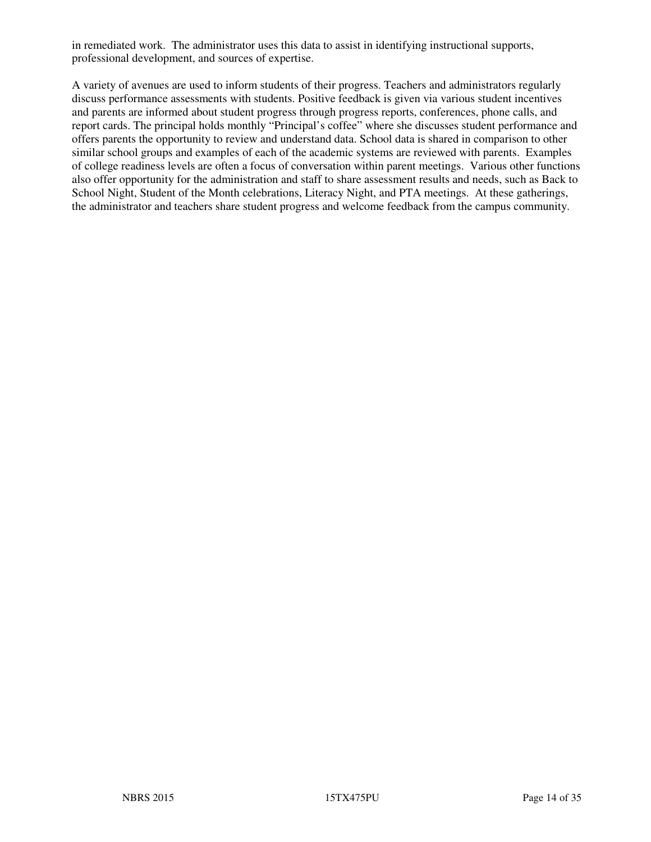in remediated work. The administrator uses this data to assist in identifying instructional supports, professional development, and sources of expertise.

A variety of avenues are used to inform students of their progress. Teachers and administrators regularly discuss performance assessments with students. Positive feedback is given via various student incentives and parents are informed about student progress through progress reports, conferences, phone calls, and report cards. The principal holds monthly "Principal's coffee" where she discusses student performance and offers parents the opportunity to review and understand data. School data is shared in comparison to other similar school groups and examples of each of the academic systems are reviewed with parents. Examples of college readiness levels are often a focus of conversation within parent meetings. Various other functions also offer opportunity for the administration and staff to share assessment results and needs, such as Back to School Night, Student of the Month celebrations, Literacy Night, and PTA meetings. At these gatherings, the administrator and teachers share student progress and welcome feedback from the campus community.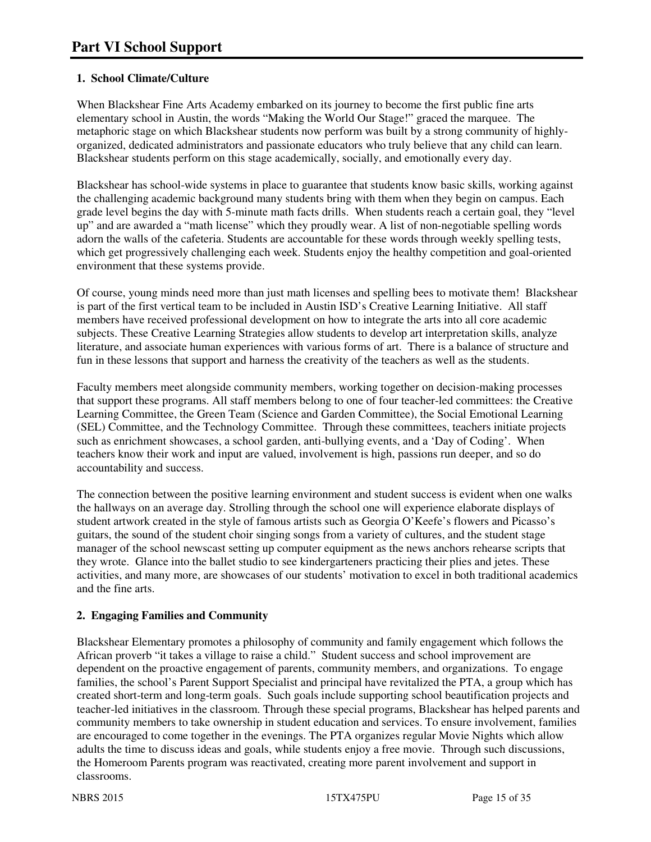## **1. School Climate/Culture**

When Blackshear Fine Arts Academy embarked on its journey to become the first public fine arts elementary school in Austin, the words "Making the World Our Stage!" graced the marquee. The metaphoric stage on which Blackshear students now perform was built by a strong community of highlyorganized, dedicated administrators and passionate educators who truly believe that any child can learn. Blackshear students perform on this stage academically, socially, and emotionally every day.

Blackshear has school-wide systems in place to guarantee that students know basic skills, working against the challenging academic background many students bring with them when they begin on campus. Each grade level begins the day with 5-minute math facts drills. When students reach a certain goal, they "level up" and are awarded a "math license" which they proudly wear. A list of non-negotiable spelling words adorn the walls of the cafeteria. Students are accountable for these words through weekly spelling tests, which get progressively challenging each week. Students enjoy the healthy competition and goal-oriented environment that these systems provide.

Of course, young minds need more than just math licenses and spelling bees to motivate them! Blackshear is part of the first vertical team to be included in Austin ISD's Creative Learning Initiative. All staff members have received professional development on how to integrate the arts into all core academic subjects. These Creative Learning Strategies allow students to develop art interpretation skills, analyze literature, and associate human experiences with various forms of art. There is a balance of structure and fun in these lessons that support and harness the creativity of the teachers as well as the students.

Faculty members meet alongside community members, working together on decision-making processes that support these programs. All staff members belong to one of four teacher-led committees: the Creative Learning Committee, the Green Team (Science and Garden Committee), the Social Emotional Learning (SEL) Committee, and the Technology Committee. Through these committees, teachers initiate projects such as enrichment showcases, a school garden, anti-bullying events, and a 'Day of Coding'. When teachers know their work and input are valued, involvement is high, passions run deeper, and so do accountability and success.

The connection between the positive learning environment and student success is evident when one walks the hallways on an average day. Strolling through the school one will experience elaborate displays of student artwork created in the style of famous artists such as Georgia O'Keefe's flowers and Picasso's guitars, the sound of the student choir singing songs from a variety of cultures, and the student stage manager of the school newscast setting up computer equipment as the news anchors rehearse scripts that they wrote. Glance into the ballet studio to see kindergarteners practicing their plies and jetes. These activities, and many more, are showcases of our students' motivation to excel in both traditional academics and the fine arts.

## **2. Engaging Families and Community**

Blackshear Elementary promotes a philosophy of community and family engagement which follows the African proverb "it takes a village to raise a child." Student success and school improvement are dependent on the proactive engagement of parents, community members, and organizations. To engage families, the school's Parent Support Specialist and principal have revitalized the PTA, a group which has created short-term and long-term goals. Such goals include supporting school beautification projects and teacher-led initiatives in the classroom. Through these special programs, Blackshear has helped parents and community members to take ownership in student education and services. To ensure involvement, families are encouraged to come together in the evenings. The PTA organizes regular Movie Nights which allow adults the time to discuss ideas and goals, while students enjoy a free movie. Through such discussions, the Homeroom Parents program was reactivated, creating more parent involvement and support in classrooms.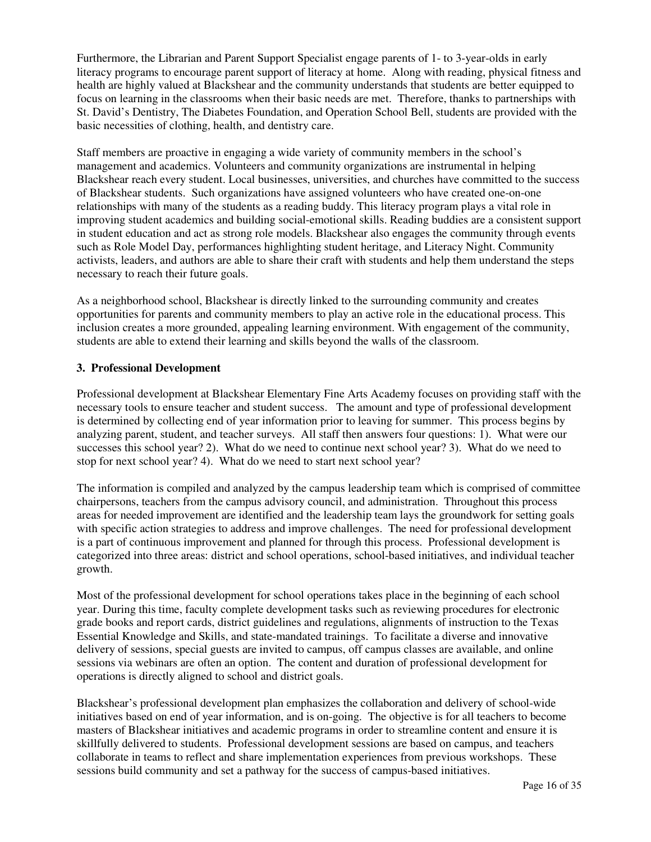Furthermore, the Librarian and Parent Support Specialist engage parents of 1- to 3-year-olds in early literacy programs to encourage parent support of literacy at home. Along with reading, physical fitness and health are highly valued at Blackshear and the community understands that students are better equipped to focus on learning in the classrooms when their basic needs are met. Therefore, thanks to partnerships with St. David's Dentistry, The Diabetes Foundation, and Operation School Bell, students are provided with the basic necessities of clothing, health, and dentistry care.

Staff members are proactive in engaging a wide variety of community members in the school's management and academics. Volunteers and community organizations are instrumental in helping Blackshear reach every student. Local businesses, universities, and churches have committed to the success of Blackshear students. Such organizations have assigned volunteers who have created one-on-one relationships with many of the students as a reading buddy. This literacy program plays a vital role in improving student academics and building social-emotional skills. Reading buddies are a consistent support in student education and act as strong role models. Blackshear also engages the community through events such as Role Model Day, performances highlighting student heritage, and Literacy Night. Community activists, leaders, and authors are able to share their craft with students and help them understand the steps necessary to reach their future goals.

As a neighborhood school, Blackshear is directly linked to the surrounding community and creates opportunities for parents and community members to play an active role in the educational process. This inclusion creates a more grounded, appealing learning environment. With engagement of the community, students are able to extend their learning and skills beyond the walls of the classroom.

#### **3. Professional Development**

Professional development at Blackshear Elementary Fine Arts Academy focuses on providing staff with the necessary tools to ensure teacher and student success. The amount and type of professional development is determined by collecting end of year information prior to leaving for summer. This process begins by analyzing parent, student, and teacher surveys. All staff then answers four questions: 1). What were our successes this school year? 2). What do we need to continue next school year? 3). What do we need to stop for next school year? 4). What do we need to start next school year?

The information is compiled and analyzed by the campus leadership team which is comprised of committee chairpersons, teachers from the campus advisory council, and administration. Throughout this process areas for needed improvement are identified and the leadership team lays the groundwork for setting goals with specific action strategies to address and improve challenges. The need for professional development is a part of continuous improvement and planned for through this process. Professional development is categorized into three areas: district and school operations, school-based initiatives, and individual teacher growth.

Most of the professional development for school operations takes place in the beginning of each school year. During this time, faculty complete development tasks such as reviewing procedures for electronic grade books and report cards, district guidelines and regulations, alignments of instruction to the Texas Essential Knowledge and Skills, and state-mandated trainings. To facilitate a diverse and innovative delivery of sessions, special guests are invited to campus, off campus classes are available, and online sessions via webinars are often an option. The content and duration of professional development for operations is directly aligned to school and district goals.

Blackshear's professional development plan emphasizes the collaboration and delivery of school-wide initiatives based on end of year information, and is on-going. The objective is for all teachers to become masters of Blackshear initiatives and academic programs in order to streamline content and ensure it is skillfully delivered to students. Professional development sessions are based on campus, and teachers collaborate in teams to reflect and share implementation experiences from previous workshops. These sessions build community and set a pathway for the success of campus-based initiatives.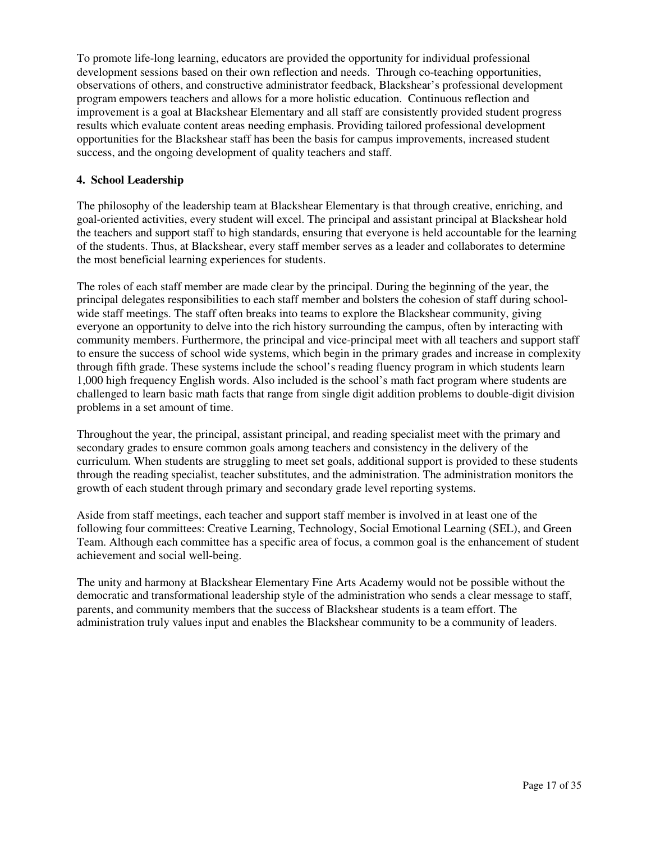To promote life-long learning, educators are provided the opportunity for individual professional development sessions based on their own reflection and needs. Through co-teaching opportunities, observations of others, and constructive administrator feedback, Blackshear's professional development program empowers teachers and allows for a more holistic education. Continuous reflection and improvement is a goal at Blackshear Elementary and all staff are consistently provided student progress results which evaluate content areas needing emphasis. Providing tailored professional development opportunities for the Blackshear staff has been the basis for campus improvements, increased student success, and the ongoing development of quality teachers and staff.

#### **4. School Leadership**

The philosophy of the leadership team at Blackshear Elementary is that through creative, enriching, and goal-oriented activities, every student will excel. The principal and assistant principal at Blackshear hold the teachers and support staff to high standards, ensuring that everyone is held accountable for the learning of the students. Thus, at Blackshear, every staff member serves as a leader and collaborates to determine the most beneficial learning experiences for students.

The roles of each staff member are made clear by the principal. During the beginning of the year, the principal delegates responsibilities to each staff member and bolsters the cohesion of staff during schoolwide staff meetings. The staff often breaks into teams to explore the Blackshear community, giving everyone an opportunity to delve into the rich history surrounding the campus, often by interacting with community members. Furthermore, the principal and vice-principal meet with all teachers and support staff to ensure the success of school wide systems, which begin in the primary grades and increase in complexity through fifth grade. These systems include the school's reading fluency program in which students learn 1,000 high frequency English words. Also included is the school's math fact program where students are challenged to learn basic math facts that range from single digit addition problems to double-digit division problems in a set amount of time.

Throughout the year, the principal, assistant principal, and reading specialist meet with the primary and secondary grades to ensure common goals among teachers and consistency in the delivery of the curriculum. When students are struggling to meet set goals, additional support is provided to these students through the reading specialist, teacher substitutes, and the administration. The administration monitors the growth of each student through primary and secondary grade level reporting systems.

Aside from staff meetings, each teacher and support staff member is involved in at least one of the following four committees: Creative Learning, Technology, Social Emotional Learning (SEL), and Green Team. Although each committee has a specific area of focus, a common goal is the enhancement of student achievement and social well-being.

The unity and harmony at Blackshear Elementary Fine Arts Academy would not be possible without the democratic and transformational leadership style of the administration who sends a clear message to staff, parents, and community members that the success of Blackshear students is a team effort. The administration truly values input and enables the Blackshear community to be a community of leaders.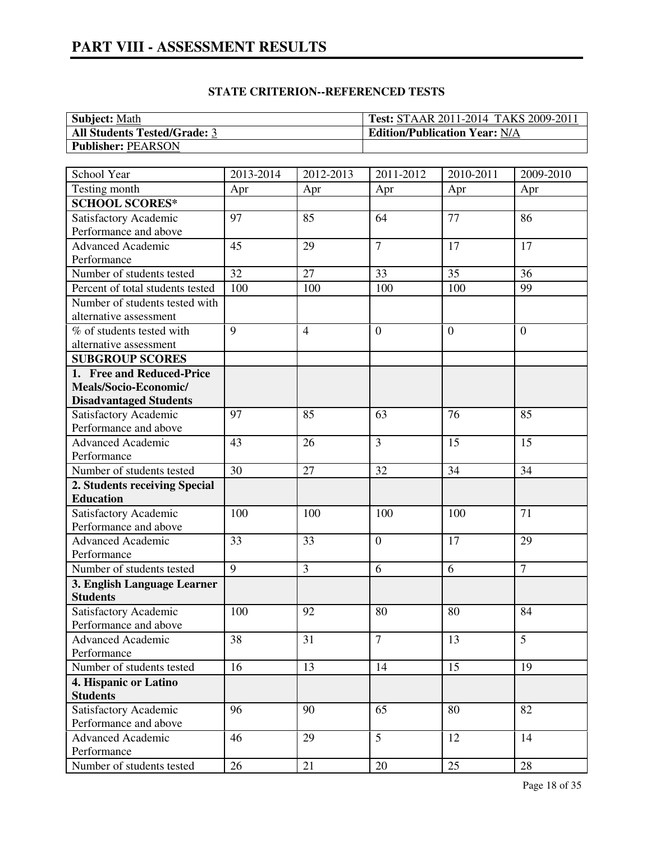# **PART VIII - ASSESSMENT RESULTS**

| <b>Subject: Math</b>                | <b>Test: STAAR 2011-2014 TAKS 2009-2011</b> |
|-------------------------------------|---------------------------------------------|
| <b>All Students Tested/Grade: 3</b> | <b>Edition/Publication Year: N/A</b>        |
| <b>Publisher: PEARSON</b>           |                                             |

| School Year                                    | 2013-2014      | 2012-2013      | 2011-2012      | 2010-2011      | 2009-2010        |
|------------------------------------------------|----------------|----------------|----------------|----------------|------------------|
| Testing month                                  | Apr            | Apr            | Apr            | Apr            | Apr              |
| <b>SCHOOL SCORES*</b>                          |                |                |                |                |                  |
| Satisfactory Academic                          | 97             | 85             | 64             | 77             | 86               |
| Performance and above                          |                |                |                |                |                  |
| <b>Advanced Academic</b>                       | 45             | 29             | $\overline{7}$ | 17             | 17               |
| Performance                                    |                |                |                |                |                  |
| Number of students tested                      | 32             | 27             | 33             | 35             | 36               |
| Percent of total students tested               | 100            | 100            | 100            | 100            | 99               |
| Number of students tested with                 |                |                |                |                |                  |
| alternative assessment                         |                |                |                |                |                  |
| % of students tested with                      | 9              | $\overline{4}$ | $\overline{0}$ | $\overline{0}$ | $\boldsymbol{0}$ |
| alternative assessment                         |                |                |                |                |                  |
| <b>SUBGROUP SCORES</b>                         |                |                |                |                |                  |
| 1. Free and Reduced-Price                      |                |                |                |                |                  |
| Meals/Socio-Economic/                          |                |                |                |                |                  |
| <b>Disadvantaged Students</b>                  |                |                |                |                |                  |
| Satisfactory Academic                          | 97             | 85             | 63             | 76             | 85               |
| Performance and above                          |                |                |                |                |                  |
| <b>Advanced Academic</b>                       | 43             | 26             | $\overline{3}$ | 15             | 15               |
| Performance                                    |                |                |                |                |                  |
| Number of students tested                      | 30             | 27             | 32             | 34             | 34               |
| 2. Students receiving Special                  |                |                |                |                |                  |
| <b>Education</b>                               |                |                |                |                |                  |
| Satisfactory Academic                          | 100            | 100            | 100            | 100            | 71               |
| Performance and above                          |                |                |                |                |                  |
| <b>Advanced Academic</b>                       | 33             | 33             | $\overline{0}$ | 17             | 29               |
| Performance                                    |                |                |                |                |                  |
| Number of students tested                      | $\overline{9}$ | 3              | 6              | 6              | $\overline{7}$   |
| 3. English Language Learner                    |                |                |                |                |                  |
| <b>Students</b>                                |                |                |                |                |                  |
| Satisfactory Academic                          | 100            | 92             | 80             | 80             | 84               |
| Performance and above                          |                |                |                |                |                  |
| Advanced Academic                              | 38             | 31             | $\overline{7}$ | 13             | 5                |
| Performance                                    |                |                |                |                |                  |
| Number of students tested                      | 16             | 13             | 14             | 15             | 19               |
| 4. Hispanic or Latino                          |                |                |                |                |                  |
| <b>Students</b>                                |                | 90             | 65             | 80             | 82               |
| Satisfactory Academic<br>Performance and above | 96             |                |                |                |                  |
| <b>Advanced Academic</b>                       | 46             | 29             | $\overline{5}$ | 12             | 14               |
| Performance                                    |                |                |                |                |                  |
| Number of students tested                      | 26             | 21             | 20             | 25             | 28               |
|                                                |                |                |                |                |                  |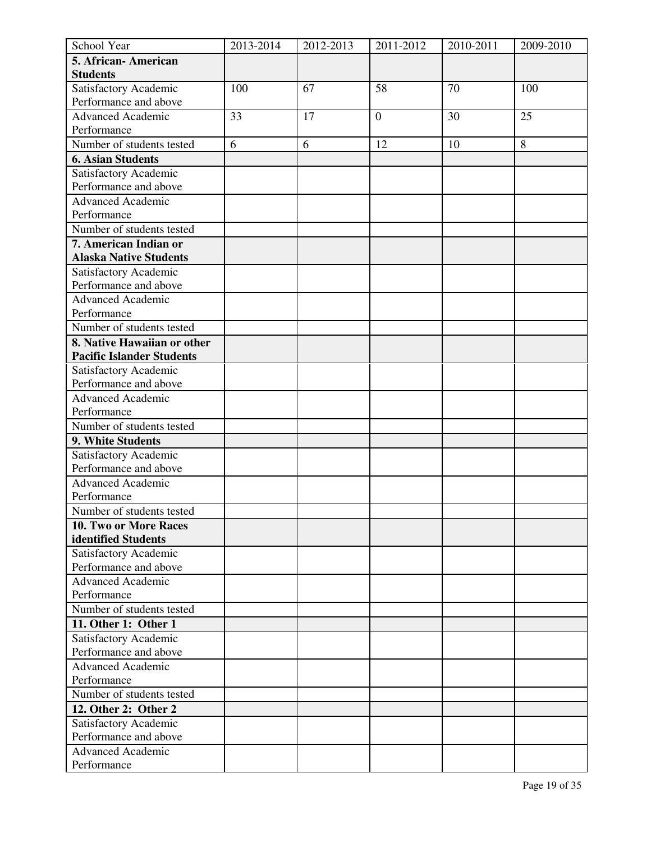| School Year                      | 2013-2014 | 2012-2013 | 2011-2012        | 2010-2011 | 2009-2010 |
|----------------------------------|-----------|-----------|------------------|-----------|-----------|
| 5. African- American             |           |           |                  |           |           |
| <b>Students</b>                  |           |           |                  |           |           |
| Satisfactory Academic            | 100       | 67        | 58               | 70        | 100       |
| Performance and above            |           |           |                  |           |           |
| <b>Advanced Academic</b>         | 33        | 17        | $\boldsymbol{0}$ | 30        | 25        |
| Performance                      |           |           |                  |           |           |
| Number of students tested        | 6         | 6         | 12               | 10        | 8         |
| <b>6. Asian Students</b>         |           |           |                  |           |           |
| Satisfactory Academic            |           |           |                  |           |           |
| Performance and above            |           |           |                  |           |           |
| <b>Advanced Academic</b>         |           |           |                  |           |           |
| Performance                      |           |           |                  |           |           |
| Number of students tested        |           |           |                  |           |           |
| 7. American Indian or            |           |           |                  |           |           |
| <b>Alaska Native Students</b>    |           |           |                  |           |           |
| Satisfactory Academic            |           |           |                  |           |           |
| Performance and above            |           |           |                  |           |           |
| <b>Advanced Academic</b>         |           |           |                  |           |           |
| Performance                      |           |           |                  |           |           |
| Number of students tested        |           |           |                  |           |           |
| 8. Native Hawaiian or other      |           |           |                  |           |           |
| <b>Pacific Islander Students</b> |           |           |                  |           |           |
| Satisfactory Academic            |           |           |                  |           |           |
| Performance and above            |           |           |                  |           |           |
| <b>Advanced Academic</b>         |           |           |                  |           |           |
| Performance                      |           |           |                  |           |           |
| Number of students tested        |           |           |                  |           |           |
| 9. White Students                |           |           |                  |           |           |
| Satisfactory Academic            |           |           |                  |           |           |
| Performance and above            |           |           |                  |           |           |
| <b>Advanced Academic</b>         |           |           |                  |           |           |
| Performance                      |           |           |                  |           |           |
| Number of students tested        |           |           |                  |           |           |
| 10. Two or More Races            |           |           |                  |           |           |
| identified Students              |           |           |                  |           |           |
| Satisfactory Academic            |           |           |                  |           |           |
| Performance and above            |           |           |                  |           |           |
| <b>Advanced Academic</b>         |           |           |                  |           |           |
| Performance                      |           |           |                  |           |           |
| Number of students tested        |           |           |                  |           |           |
| 11. Other 1: Other 1             |           |           |                  |           |           |
| Satisfactory Academic            |           |           |                  |           |           |
| Performance and above            |           |           |                  |           |           |
| <b>Advanced Academic</b>         |           |           |                  |           |           |
| Performance                      |           |           |                  |           |           |
| Number of students tested        |           |           |                  |           |           |
| 12. Other 2: Other 2             |           |           |                  |           |           |
| Satisfactory Academic            |           |           |                  |           |           |
| Performance and above            |           |           |                  |           |           |
| <b>Advanced Academic</b>         |           |           |                  |           |           |
| Performance                      |           |           |                  |           |           |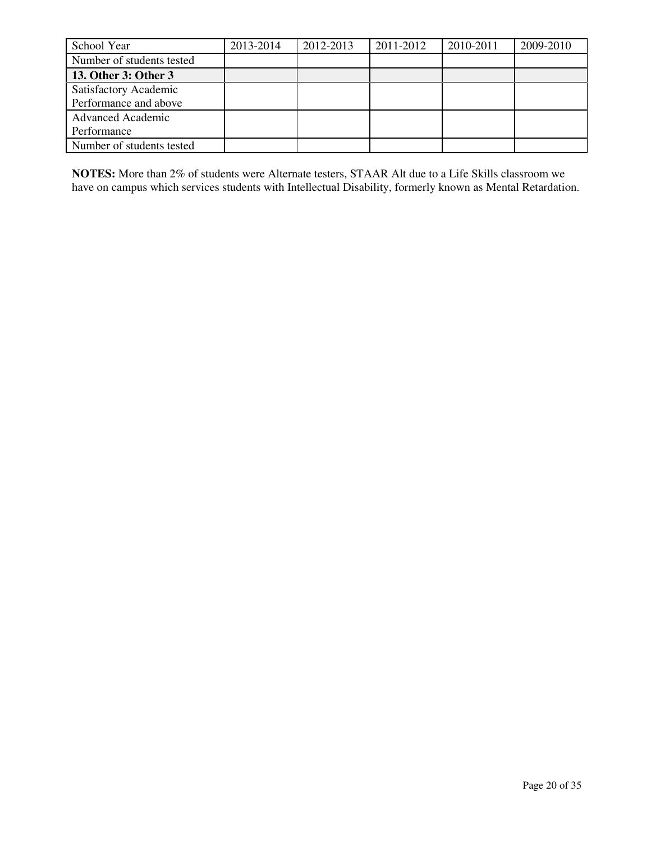| School Year               | 2013-2014 | 2012-2013 | 2011-2012 | 2010-2011 | 2009-2010 |
|---------------------------|-----------|-----------|-----------|-----------|-----------|
| Number of students tested |           |           |           |           |           |
| 13. Other 3: Other 3      |           |           |           |           |           |
| Satisfactory Academic     |           |           |           |           |           |
| Performance and above     |           |           |           |           |           |
| <b>Advanced Academic</b>  |           |           |           |           |           |
| Performance               |           |           |           |           |           |
| Number of students tested |           |           |           |           |           |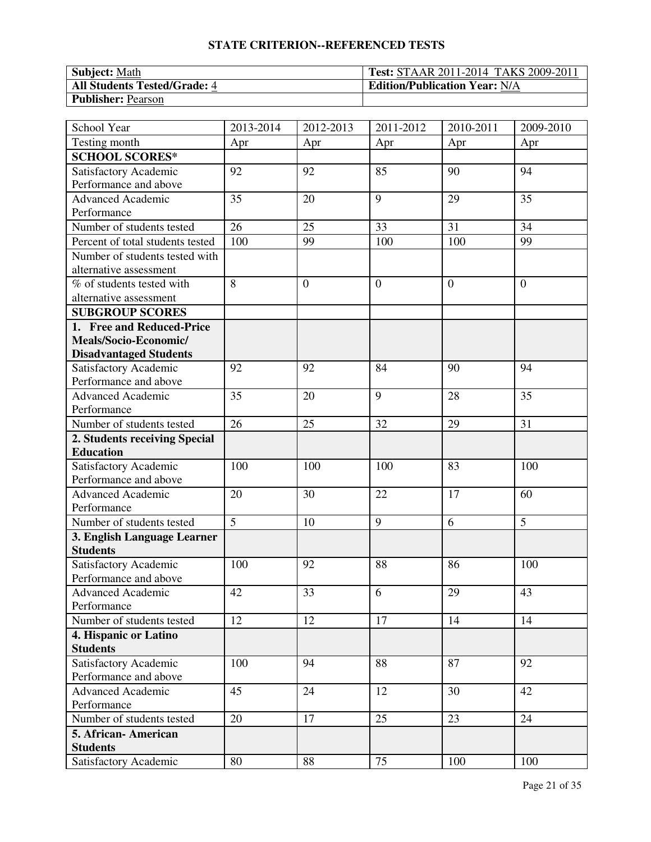| <b>Subject: Math</b>                | <b>Test: STAAR 2011-2014 TAKS 2009-2011</b> |
|-------------------------------------|---------------------------------------------|
| <b>All Students Tested/Grade: 4</b> | <b>Edition/Publication Year: N/A</b>        |
| <b>Publisher: Pearson</b>           |                                             |

| School Year                      | 2013-2014      | 2012-2013      | 2011-2012      | 2010-2011      | 2009-2010 |
|----------------------------------|----------------|----------------|----------------|----------------|-----------|
| Testing month                    | Apr            | Apr            | Apr            | Apr            | Apr       |
| <b>SCHOOL SCORES*</b>            |                |                |                |                |           |
| Satisfactory Academic            | 92             | 92             | 85             | 90             | 94        |
| Performance and above            |                |                |                |                |           |
| <b>Advanced Academic</b>         | 35             | 20             | 9              | 29             | 35        |
| Performance                      |                |                |                |                |           |
| Number of students tested        | 26             | 25             | 33             | 31             | 34        |
| Percent of total students tested | 100            | 99             | 100            | 100            | 99        |
| Number of students tested with   |                |                |                |                |           |
| alternative assessment           |                |                |                |                |           |
| % of students tested with        | 8              | $\overline{0}$ | $\overline{0}$ | $\overline{0}$ | $\theta$  |
| alternative assessment           |                |                |                |                |           |
| <b>SUBGROUP SCORES</b>           |                |                |                |                |           |
| 1. Free and Reduced-Price        |                |                |                |                |           |
| Meals/Socio-Economic/            |                |                |                |                |           |
| <b>Disadvantaged Students</b>    |                |                |                |                |           |
| Satisfactory Academic            | 92             | 92             | 84             | 90             | 94        |
| Performance and above            |                |                |                |                |           |
| <b>Advanced Academic</b>         | 35             | 20             | 9              | 28             | 35        |
| Performance                      |                |                |                |                |           |
| Number of students tested        | 26             | 25             | 32             | 29             | 31        |
| 2. Students receiving Special    |                |                |                |                |           |
| <b>Education</b>                 |                |                |                |                |           |
| Satisfactory Academic            | 100            | 100            | 100            | 83             | 100       |
| Performance and above            |                |                |                |                |           |
| <b>Advanced Academic</b>         | 20             | 30             | 22             | 17             | 60        |
| Performance                      |                |                |                |                |           |
| Number of students tested        | $\overline{5}$ | 10             | 9              | 6              | 5         |
| 3. English Language Learner      |                |                |                |                |           |
| <b>Students</b>                  |                |                |                |                |           |
| Satisfactory Academic            | 100            | 92             | 88             | 86             | 100       |
| Performance and above            |                |                |                |                |           |
| Advanced Academic                | 42             | 33             | 6              | 29             | 43        |
| Performance                      |                |                |                |                |           |
| Number of students tested        | 12             | 12             | 17             | 14             | 14        |
| 4. Hispanic or Latino            |                |                |                |                |           |
| <b>Students</b>                  |                |                |                |                |           |
| Satisfactory Academic            | 100            | 94             | 88             | 87             | 92        |
| Performance and above            |                |                |                |                |           |
| <b>Advanced Academic</b>         | 45             | 24             | 12             | 30             | 42        |
| Performance                      |                |                |                |                |           |
| Number of students tested        | 20             | 17             | 25             | 23             | 24        |
| 5. African-American              |                |                |                |                |           |
| <b>Students</b>                  |                |                |                |                |           |
| Satisfactory Academic            | 80             | 88             | 75             | 100            | 100       |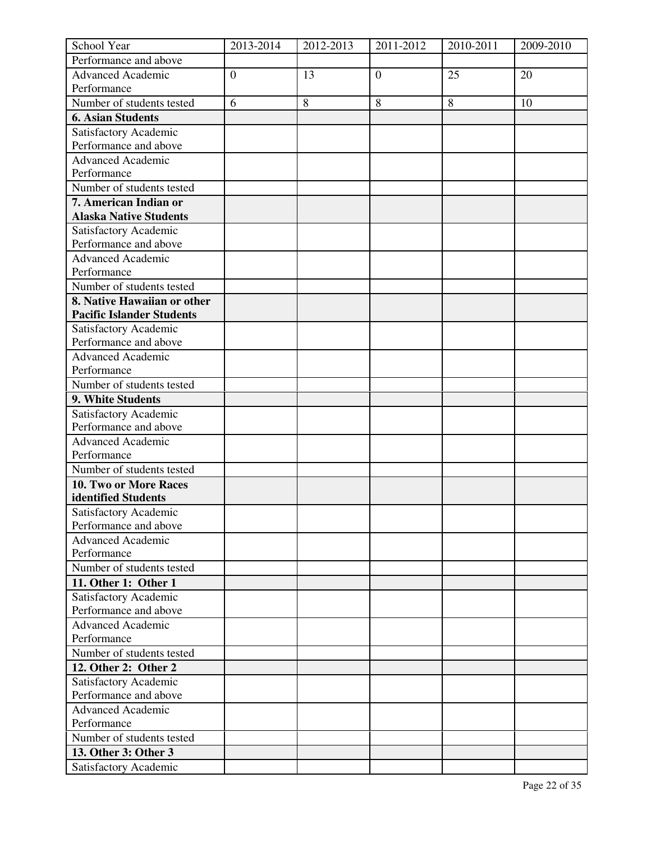| School Year                      | 2013-2014      | 2012-2013 | 2011-2012        | 2010-2011 | 2009-2010 |
|----------------------------------|----------------|-----------|------------------|-----------|-----------|
| Performance and above            |                |           |                  |           |           |
| <b>Advanced Academic</b>         | $\overline{0}$ | 13        | $\boldsymbol{0}$ | 25        | 20        |
| Performance                      |                |           |                  |           |           |
| Number of students tested        | 6              | 8         | 8                | 8         | 10        |
| <b>6. Asian Students</b>         |                |           |                  |           |           |
| Satisfactory Academic            |                |           |                  |           |           |
| Performance and above            |                |           |                  |           |           |
| Advanced Academic                |                |           |                  |           |           |
| Performance                      |                |           |                  |           |           |
| Number of students tested        |                |           |                  |           |           |
| 7. American Indian or            |                |           |                  |           |           |
| <b>Alaska Native Students</b>    |                |           |                  |           |           |
| Satisfactory Academic            |                |           |                  |           |           |
| Performance and above            |                |           |                  |           |           |
| <b>Advanced Academic</b>         |                |           |                  |           |           |
| Performance                      |                |           |                  |           |           |
| Number of students tested        |                |           |                  |           |           |
| 8. Native Hawaiian or other      |                |           |                  |           |           |
| <b>Pacific Islander Students</b> |                |           |                  |           |           |
| Satisfactory Academic            |                |           |                  |           |           |
| Performance and above            |                |           |                  |           |           |
| <b>Advanced Academic</b>         |                |           |                  |           |           |
| Performance                      |                |           |                  |           |           |
| Number of students tested        |                |           |                  |           |           |
| 9. White Students                |                |           |                  |           |           |
|                                  |                |           |                  |           |           |
| Satisfactory Academic            |                |           |                  |           |           |
| Performance and above            |                |           |                  |           |           |
| <b>Advanced Academic</b>         |                |           |                  |           |           |
| Performance                      |                |           |                  |           |           |
| Number of students tested        |                |           |                  |           |           |
| 10. Two or More Races            |                |           |                  |           |           |
| identified Students              |                |           |                  |           |           |
| Satisfactory Academic            |                |           |                  |           |           |
| Performance and above            |                |           |                  |           |           |
| <b>Advanced Academic</b>         |                |           |                  |           |           |
| Performance                      |                |           |                  |           |           |
| Number of students tested        |                |           |                  |           |           |
| 11. Other 1: Other 1             |                |           |                  |           |           |
| Satisfactory Academic            |                |           |                  |           |           |
| Performance and above            |                |           |                  |           |           |
| <b>Advanced Academic</b>         |                |           |                  |           |           |
| Performance                      |                |           |                  |           |           |
| Number of students tested        |                |           |                  |           |           |
| 12. Other 2: Other 2             |                |           |                  |           |           |
| Satisfactory Academic            |                |           |                  |           |           |
| Performance and above            |                |           |                  |           |           |
| <b>Advanced Academic</b>         |                |           |                  |           |           |
| Performance                      |                |           |                  |           |           |
| Number of students tested        |                |           |                  |           |           |
| 13. Other 3: Other 3             |                |           |                  |           |           |
| Satisfactory Academic            |                |           |                  |           |           |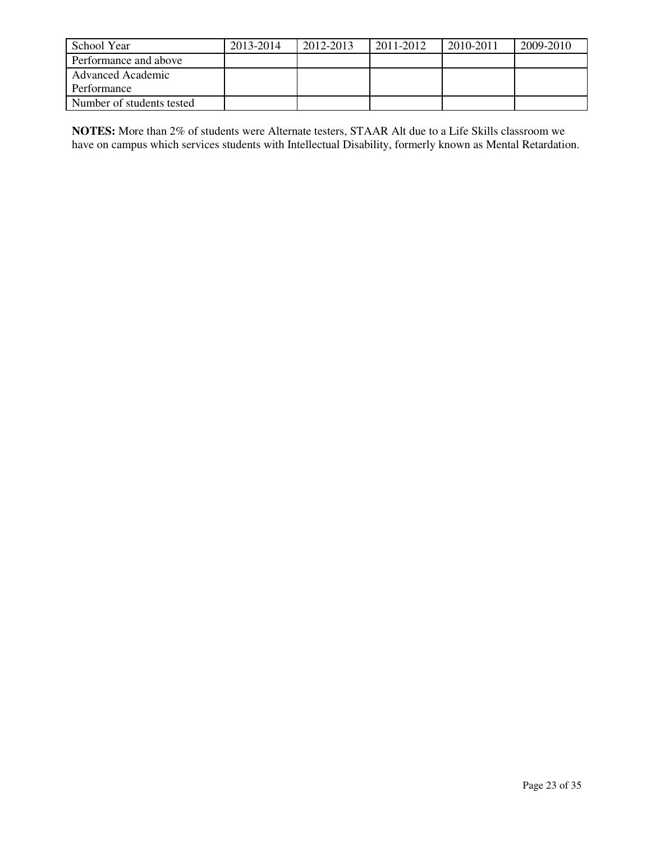| School Year               | 2013-2014 | 2012-2013 | 2011-2012 | 2010-2011 | 2009-2010 |
|---------------------------|-----------|-----------|-----------|-----------|-----------|
| Performance and above     |           |           |           |           |           |
| <b>Advanced Academic</b>  |           |           |           |           |           |
| Performance               |           |           |           |           |           |
| Number of students tested |           |           |           |           |           |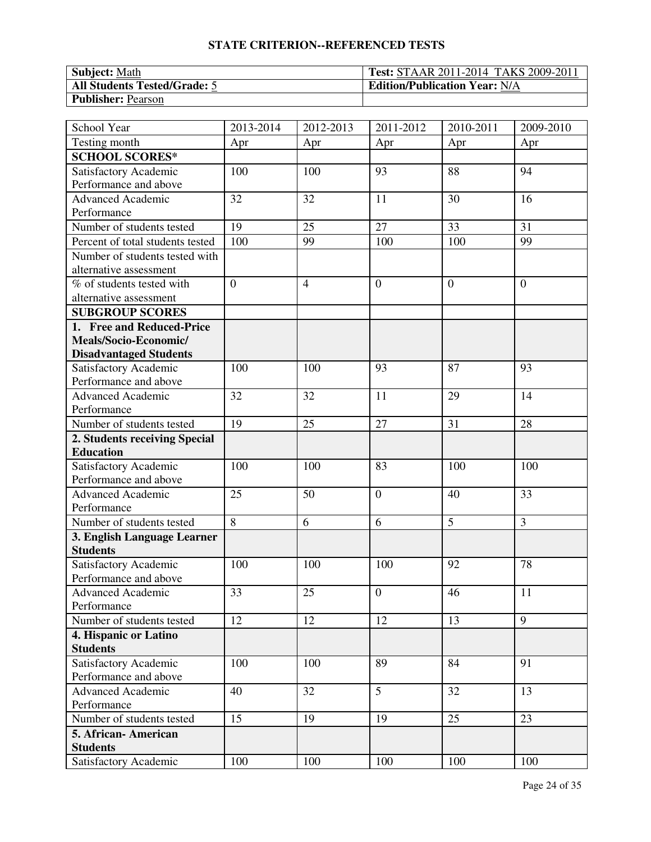| <b>Subject: Math</b>                | <b>Test: STAAR 2011-2014 TAKS 2009-2011</b> |
|-------------------------------------|---------------------------------------------|
| <b>All Students Tested/Grade: 5</b> | <b>Edition/Publication Year: N/A</b>        |
| <b>Publisher: Pearson</b>           |                                             |

| School Year                      | 2013-2014      | 2012-2013      | 2011-2012      | 2010-2011      | 2009-2010      |
|----------------------------------|----------------|----------------|----------------|----------------|----------------|
| Testing month                    | Apr            | Apr            | Apr            | Apr            | Apr            |
| <b>SCHOOL SCORES*</b>            |                |                |                |                |                |
| Satisfactory Academic            | 100            | 100            | 93             | 88             | 94             |
| Performance and above            |                |                |                |                |                |
| <b>Advanced Academic</b>         | 32             | 32             | 11             | 30             | 16             |
| Performance                      |                |                |                |                |                |
| Number of students tested        | 19             | 25             | 27             | 33             | 31             |
| Percent of total students tested | 100            | 99             | 100            | 100            | 99             |
| Number of students tested with   |                |                |                |                |                |
| alternative assessment           |                |                |                |                |                |
| % of students tested with        | $\overline{0}$ | $\overline{4}$ | $\overline{0}$ | $\overline{0}$ | $\theta$       |
| alternative assessment           |                |                |                |                |                |
| <b>SUBGROUP SCORES</b>           |                |                |                |                |                |
| 1. Free and Reduced-Price        |                |                |                |                |                |
| Meals/Socio-Economic/            |                |                |                |                |                |
| <b>Disadvantaged Students</b>    |                |                |                |                |                |
| Satisfactory Academic            | 100            | 100            | 93             | 87             | 93             |
| Performance and above            |                |                |                |                |                |
| <b>Advanced Academic</b>         | 32             | 32             | 11             | 29             | 14             |
| Performance                      |                |                |                |                |                |
| Number of students tested        | 19             | 25             | 27             | 31             | 28             |
| 2. Students receiving Special    |                |                |                |                |                |
| <b>Education</b>                 |                |                |                |                |                |
| Satisfactory Academic            | 100            | 100            | 83             | 100            | 100            |
| Performance and above            |                |                |                |                |                |
| <b>Advanced Academic</b>         | 25             | 50             | $\mathbf{0}$   | 40             | 33             |
| Performance                      |                |                |                |                |                |
| Number of students tested        | 8              | 6              | 6              | 5              | $\overline{3}$ |
| 3. English Language Learner      |                |                |                |                |                |
| <b>Students</b>                  |                |                |                |                |                |
| Satisfactory Academic            | 100            | 100            | 100            | 92             | 78             |
| Performance and above            |                |                |                |                |                |
| Advanced Academic                | 33             | 25             | $\overline{0}$ | 46             | 11             |
| Performance                      |                |                |                |                |                |
| Number of students tested        | 12             | 12             | 12             | 13             | 9              |
| 4. Hispanic or Latino            |                |                |                |                |                |
| <b>Students</b>                  |                |                |                |                |                |
| Satisfactory Academic            | 100            | 100            | 89             | 84             | 91             |
| Performance and above            |                |                |                |                |                |
| <b>Advanced Academic</b>         | 40             | 32             | 5              | 32             | 13             |
| Performance                      |                |                |                |                |                |
| Number of students tested        | 15             | 19             | 19             | 25             | 23             |
| 5. African-American              |                |                |                |                |                |
| <b>Students</b>                  |                |                |                |                |                |
| Satisfactory Academic            | 100            | 100            | 100            | 100            | 100            |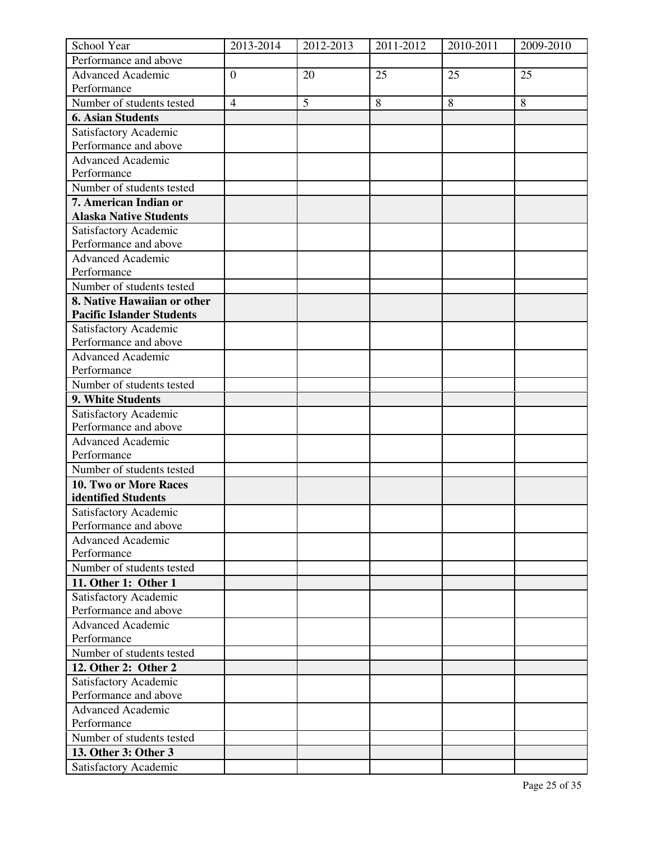| School Year                      | 2013-2014      | 2012-2013 | 2011-2012 | 2010-2011 | 2009-2010 |
|----------------------------------|----------------|-----------|-----------|-----------|-----------|
| Performance and above            |                |           |           |           |           |
| <b>Advanced Academic</b>         | $\overline{0}$ | 20        | 25        | 25        | 25        |
| Performance                      |                |           |           |           |           |
| Number of students tested        | $\overline{4}$ | 5         | $\,8\,$   | 8         | 8         |
| <b>6. Asian Students</b>         |                |           |           |           |           |
| Satisfactory Academic            |                |           |           |           |           |
| Performance and above            |                |           |           |           |           |
| Advanced Academic                |                |           |           |           |           |
| Performance                      |                |           |           |           |           |
| Number of students tested        |                |           |           |           |           |
| 7. American Indian or            |                |           |           |           |           |
| <b>Alaska Native Students</b>    |                |           |           |           |           |
| Satisfactory Academic            |                |           |           |           |           |
| Performance and above            |                |           |           |           |           |
| <b>Advanced Academic</b>         |                |           |           |           |           |
| Performance                      |                |           |           |           |           |
| Number of students tested        |                |           |           |           |           |
| 8. Native Hawaiian or other      |                |           |           |           |           |
| <b>Pacific Islander Students</b> |                |           |           |           |           |
| Satisfactory Academic            |                |           |           |           |           |
| Performance and above            |                |           |           |           |           |
| <b>Advanced Academic</b>         |                |           |           |           |           |
| Performance                      |                |           |           |           |           |
| Number of students tested        |                |           |           |           |           |
| 9. White Students                |                |           |           |           |           |
|                                  |                |           |           |           |           |
| Satisfactory Academic            |                |           |           |           |           |
| Performance and above            |                |           |           |           |           |
| <b>Advanced Academic</b>         |                |           |           |           |           |
| Performance                      |                |           |           |           |           |
| Number of students tested        |                |           |           |           |           |
| 10. Two or More Races            |                |           |           |           |           |
| identified Students              |                |           |           |           |           |
| Satisfactory Academic            |                |           |           |           |           |
| Performance and above            |                |           |           |           |           |
| <b>Advanced Academic</b>         |                |           |           |           |           |
| Performance                      |                |           |           |           |           |
| Number of students tested        |                |           |           |           |           |
| 11. Other 1: Other 1             |                |           |           |           |           |
| Satisfactory Academic            |                |           |           |           |           |
| Performance and above            |                |           |           |           |           |
| <b>Advanced Academic</b>         |                |           |           |           |           |
| Performance                      |                |           |           |           |           |
| Number of students tested        |                |           |           |           |           |
| 12. Other 2: Other 2             |                |           |           |           |           |
| Satisfactory Academic            |                |           |           |           |           |
| Performance and above            |                |           |           |           |           |
| <b>Advanced Academic</b>         |                |           |           |           |           |
| Performance                      |                |           |           |           |           |
| Number of students tested        |                |           |           |           |           |
| 13. Other 3: Other 3             |                |           |           |           |           |
| Satisfactory Academic            |                |           |           |           |           |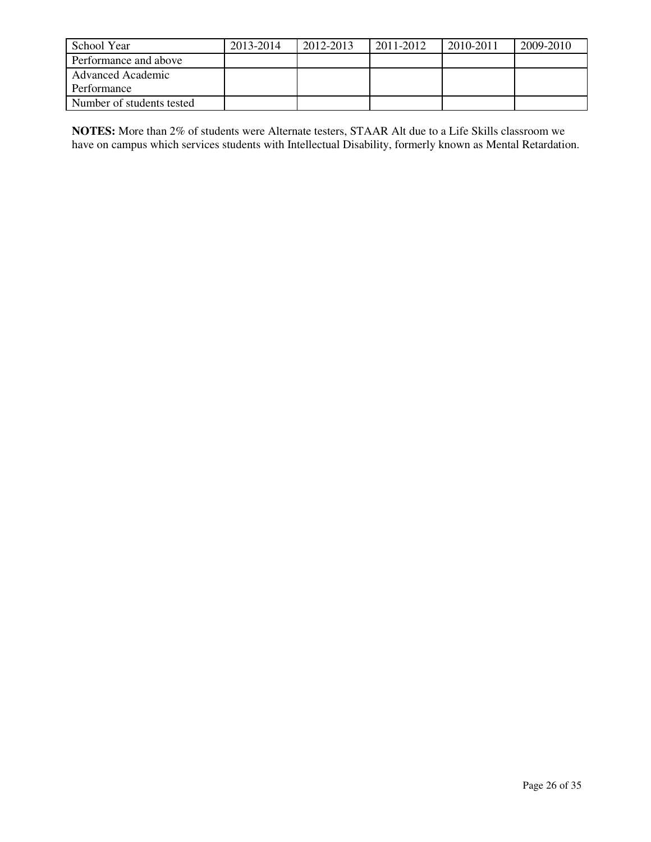| School Year               | 2013-2014 | 2012-2013 | 2011-2012 | 2010-2011 | 2009-2010 |
|---------------------------|-----------|-----------|-----------|-----------|-----------|
| Performance and above     |           |           |           |           |           |
| <b>Advanced Academic</b>  |           |           |           |           |           |
| Performance               |           |           |           |           |           |
| Number of students tested |           |           |           |           |           |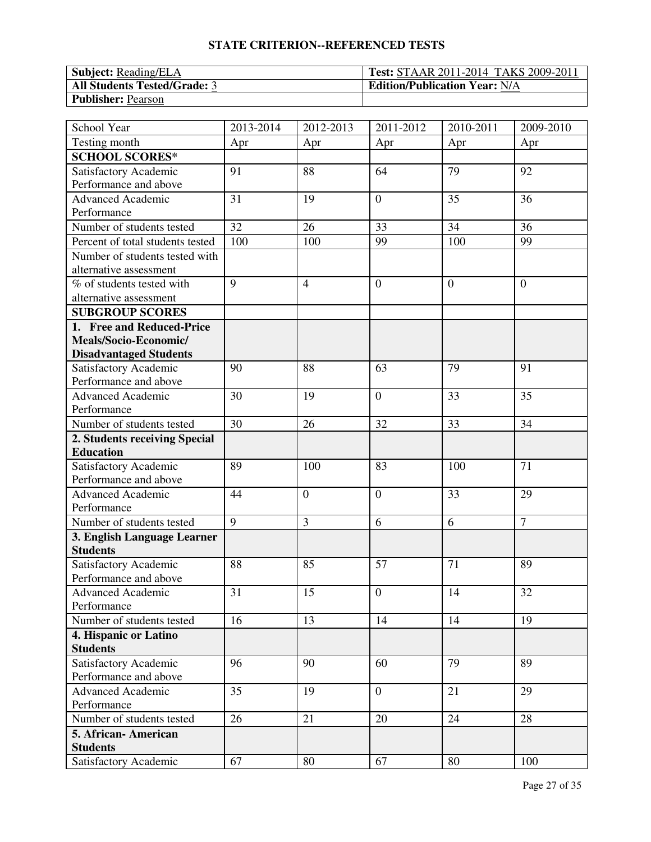| <b>Subject:</b> Reading/ELA         | <b>Test: STAAR 2011-2014 TAKS 2009-2011</b> |
|-------------------------------------|---------------------------------------------|
| <b>All Students Tested/Grade: 3</b> | <b>Edition/Publication Year: N/A</b>        |
| <b>Publisher: Pearson</b>           |                                             |

| School Year                      | 2013-2014      | $\overline{20}$ 12-2013 | 2011-2012        | $\overline{20}10 - 2011$ | 2009-2010      |
|----------------------------------|----------------|-------------------------|------------------|--------------------------|----------------|
| Testing month                    | Apr            | Apr                     | Apr              | Apr                      | Apr            |
| <b>SCHOOL SCORES*</b>            |                |                         |                  |                          |                |
| Satisfactory Academic            | 91             | 88                      | 64               | 79                       | 92             |
| Performance and above            |                |                         |                  |                          |                |
| Advanced Academic                | 31             | 19                      | $\overline{0}$   | 35                       | 36             |
| Performance                      |                |                         |                  |                          |                |
| Number of students tested        | 32             | 26                      | 33               | 34                       | 36             |
| Percent of total students tested | 100            | 100                     | 99               | 100                      | 99             |
| Number of students tested with   |                |                         |                  |                          |                |
| alternative assessment           |                |                         |                  |                          |                |
| % of students tested with        | $\overline{9}$ | $\overline{4}$          | $\boldsymbol{0}$ | $\overline{0}$           | $\theta$       |
| alternative assessment           |                |                         |                  |                          |                |
| <b>SUBGROUP SCORES</b>           |                |                         |                  |                          |                |
| 1. Free and Reduced-Price        |                |                         |                  |                          |                |
| Meals/Socio-Economic/            |                |                         |                  |                          |                |
| <b>Disadvantaged Students</b>    |                |                         |                  |                          |                |
| Satisfactory Academic            | 90             | 88                      | 63               | 79                       | 91             |
| Performance and above            |                |                         |                  |                          |                |
| <b>Advanced Academic</b>         | 30             | 19                      | $\boldsymbol{0}$ | 33                       | 35             |
| Performance                      |                |                         |                  |                          |                |
| Number of students tested        | 30             | 26                      | 32               | 33                       | 34             |
| 2. Students receiving Special    |                |                         |                  |                          |                |
| <b>Education</b>                 |                |                         |                  |                          |                |
| Satisfactory Academic            | 89             | 100                     | 83               | 100                      | 71             |
| Performance and above            |                |                         |                  |                          |                |
| <b>Advanced Academic</b>         | 44             | $\overline{0}$          | $\boldsymbol{0}$ | 33                       | 29             |
| Performance                      |                |                         |                  |                          |                |
| Number of students tested        | 9              | 3                       | 6                | 6                        | $\overline{7}$ |
| 3. English Language Learner      |                |                         |                  |                          |                |
| <b>Students</b>                  |                |                         |                  |                          |                |
| Satisfactory Academic            | 88             | 85                      | 57               | 71                       | 89             |
| Performance and above            |                |                         |                  |                          |                |
| Advanced Academic                | 31             | 15                      | $\mathbf{0}$     | 14                       | $32\,$         |
| Performance                      |                |                         |                  |                          |                |
| Number of students tested        | 16             | 13                      | 14               | 14                       | 19             |
| 4. Hispanic or Latino            |                |                         |                  |                          |                |
| <b>Students</b>                  |                |                         |                  |                          |                |
| Satisfactory Academic            | 96             | 90                      | 60               | 79                       | 89             |
| Performance and above            |                |                         |                  |                          |                |
| Advanced Academic                | 35             | 19                      | $\mathbf{0}$     | 21                       | 29             |
| Performance                      |                |                         |                  |                          |                |
| Number of students tested        | 26             | 21                      | 20               | 24                       | 28             |
| 5. African-American              |                |                         |                  |                          |                |
| <b>Students</b>                  |                |                         |                  |                          |                |
| Satisfactory Academic            | 67             | 80                      | 67               | 80                       | 100            |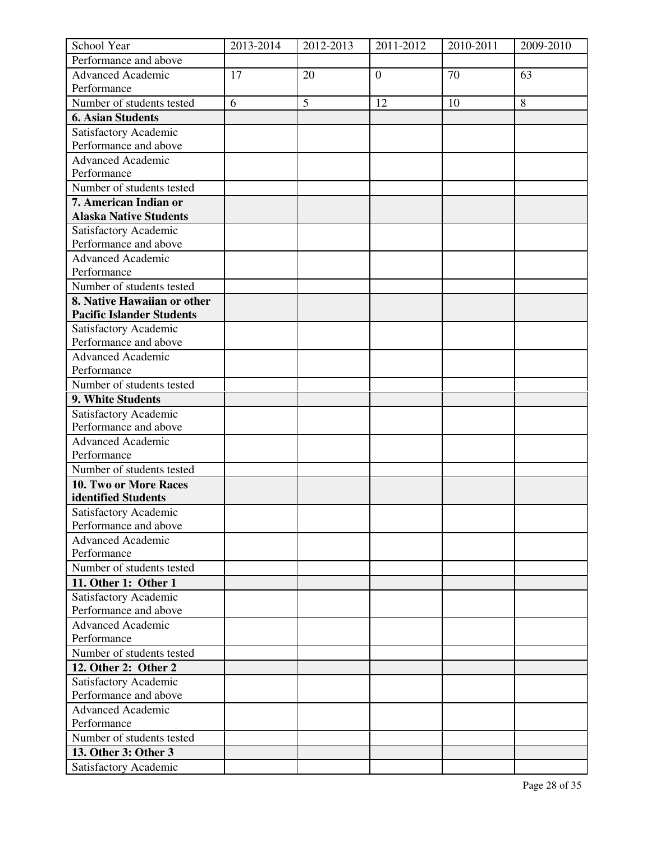| School Year                                    | 2013-2014 | 2012-2013 | 2011-2012        | 2010-2011 | 2009-2010 |
|------------------------------------------------|-----------|-----------|------------------|-----------|-----------|
| Performance and above                          |           |           |                  |           |           |
| <b>Advanced Academic</b>                       | 17        | 20        | $\boldsymbol{0}$ | 70        | 63        |
| Performance                                    |           |           |                  |           |           |
| Number of students tested                      | 6         | 5         | 12               | 10        | 8         |
| <b>6. Asian Students</b>                       |           |           |                  |           |           |
| Satisfactory Academic                          |           |           |                  |           |           |
| Performance and above                          |           |           |                  |           |           |
| Advanced Academic                              |           |           |                  |           |           |
| Performance                                    |           |           |                  |           |           |
| Number of students tested                      |           |           |                  |           |           |
| 7. American Indian or                          |           |           |                  |           |           |
| <b>Alaska Native Students</b>                  |           |           |                  |           |           |
| Satisfactory Academic                          |           |           |                  |           |           |
| Performance and above                          |           |           |                  |           |           |
| <b>Advanced Academic</b>                       |           |           |                  |           |           |
| Performance                                    |           |           |                  |           |           |
| Number of students tested                      |           |           |                  |           |           |
| 8. Native Hawaiian or other                    |           |           |                  |           |           |
| <b>Pacific Islander Students</b>               |           |           |                  |           |           |
| Satisfactory Academic                          |           |           |                  |           |           |
| Performance and above                          |           |           |                  |           |           |
| <b>Advanced Academic</b>                       |           |           |                  |           |           |
| Performance                                    |           |           |                  |           |           |
| Number of students tested                      |           |           |                  |           |           |
| 9. White Students                              |           |           |                  |           |           |
|                                                |           |           |                  |           |           |
| Satisfactory Academic<br>Performance and above |           |           |                  |           |           |
|                                                |           |           |                  |           |           |
| <b>Advanced Academic</b><br>Performance        |           |           |                  |           |           |
|                                                |           |           |                  |           |           |
| Number of students tested                      |           |           |                  |           |           |
| 10. Two or More Races                          |           |           |                  |           |           |
| identified Students                            |           |           |                  |           |           |
| Satisfactory Academic<br>Performance and above |           |           |                  |           |           |
| <b>Advanced Academic</b>                       |           |           |                  |           |           |
| Performance                                    |           |           |                  |           |           |
|                                                |           |           |                  |           |           |
| Number of students tested                      |           |           |                  |           |           |
| 11. Other 1: Other 1                           |           |           |                  |           |           |
| Satisfactory Academic                          |           |           |                  |           |           |
| Performance and above                          |           |           |                  |           |           |
| <b>Advanced Academic</b>                       |           |           |                  |           |           |
| Performance                                    |           |           |                  |           |           |
| Number of students tested                      |           |           |                  |           |           |
| 12. Other 2: Other 2                           |           |           |                  |           |           |
| Satisfactory Academic                          |           |           |                  |           |           |
| Performance and above                          |           |           |                  |           |           |
| <b>Advanced Academic</b>                       |           |           |                  |           |           |
| Performance                                    |           |           |                  |           |           |
| Number of students tested                      |           |           |                  |           |           |
| 13. Other 3: Other 3                           |           |           |                  |           |           |
| Satisfactory Academic                          |           |           |                  |           |           |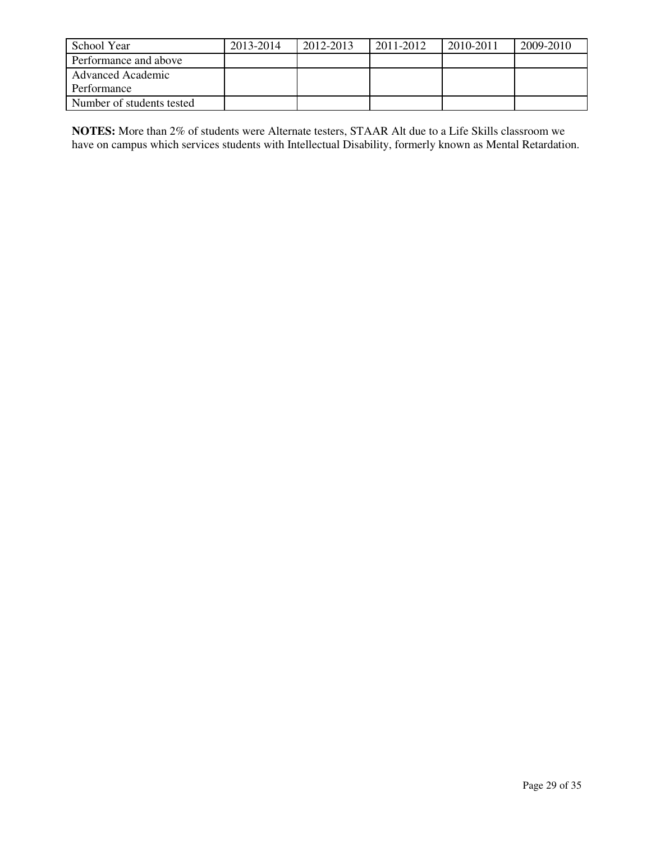| School Year               | 2013-2014 | 2012-2013 | 2011-2012 | 2010-2011 | 2009-2010 |
|---------------------------|-----------|-----------|-----------|-----------|-----------|
| Performance and above     |           |           |           |           |           |
| <b>Advanced Academic</b>  |           |           |           |           |           |
| Performance               |           |           |           |           |           |
| Number of students tested |           |           |           |           |           |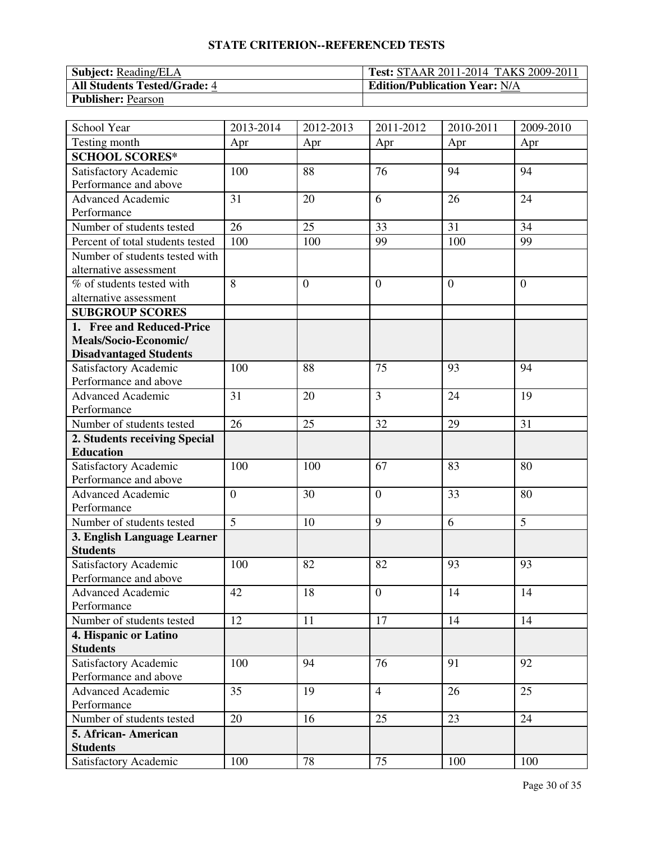| <b>Subject:</b> Reading/ELA         | <b>Test: STAAR 2011-2014 TAKS 2009-2011</b> |
|-------------------------------------|---------------------------------------------|
| <b>All Students Tested/Grade: 4</b> | <b>Edition/Publication Year: N/A</b>        |
| <b>Publisher: Pearson</b>           |                                             |

| School Year                                    | 2013-2014        | 2012-2013        | 2011-2012        | 2010-2011      | 2009-2010      |
|------------------------------------------------|------------------|------------------|------------------|----------------|----------------|
| Testing month                                  | Apr              | Apr              | Apr              | Apr            | Apr            |
| <b>SCHOOL SCORES*</b>                          |                  |                  |                  |                |                |
| Satisfactory Academic                          | 100              | 88               | 76               | 94             | 94             |
| Performance and above                          |                  |                  |                  |                |                |
| <b>Advanced Academic</b>                       | 31               | 20               | 6                | 26             | 24             |
| Performance                                    |                  |                  |                  |                |                |
| Number of students tested                      | 26               | 25               | 33               | 31             | 34             |
| Percent of total students tested               | 100              | 100              | 99               | 100            | 99             |
| Number of students tested with                 |                  |                  |                  |                |                |
| alternative assessment                         |                  |                  |                  |                |                |
| % of students tested with                      | 8                | $\boldsymbol{0}$ | $\boldsymbol{0}$ | $\overline{0}$ | $\overline{0}$ |
| alternative assessment                         |                  |                  |                  |                |                |
| <b>SUBGROUP SCORES</b>                         |                  |                  |                  |                |                |
| 1. Free and Reduced-Price                      |                  |                  |                  |                |                |
| Meals/Socio-Economic/                          |                  |                  |                  |                |                |
| <b>Disadvantaged Students</b>                  |                  |                  |                  |                |                |
| Satisfactory Academic                          | 100              | 88               | 75               | 93             | 94             |
| Performance and above                          |                  |                  |                  |                |                |
| <b>Advanced Academic</b>                       | 31               | 20               | $\overline{3}$   | 24             | 19             |
| Performance                                    |                  |                  |                  |                |                |
| Number of students tested                      | 26               | 25               | 32               | 29             | 31             |
| 2. Students receiving Special                  |                  |                  |                  |                |                |
| <b>Education</b>                               |                  |                  |                  |                |                |
| Satisfactory Academic                          | 100              | 100              | 67               | 83             | 80             |
| Performance and above                          |                  |                  |                  |                |                |
| <b>Advanced Academic</b>                       | $\boldsymbol{0}$ | 30               | $\mathbf{0}$     | 33             | 80             |
| Performance                                    |                  |                  |                  |                |                |
| Number of students tested                      | 5                | 10               | 9                | 6              | 5              |
| 3. English Language Learner                    |                  |                  |                  |                |                |
| <b>Students</b>                                |                  |                  |                  |                |                |
| Satisfactory Academic                          | 100              | 82               | 82               | 93             | 93             |
| Performance and above                          |                  |                  |                  |                |                |
| <b>Advanced Academic</b>                       | 42               | 18               | $\overline{0}$   | 14             | 14             |
| Performance<br>Number of students tested       | 12               | 11               | 17               | 14             | 14             |
|                                                |                  |                  |                  |                |                |
| 4. Hispanic or Latino<br><b>Students</b>       |                  |                  |                  |                |                |
|                                                | 100              | 94               | 76               | 91             | 92             |
| Satisfactory Academic<br>Performance and above |                  |                  |                  |                |                |
| <b>Advanced Academic</b>                       | 35               | 19               | $\overline{4}$   | 26             | 25             |
| Performance                                    |                  |                  |                  |                |                |
| Number of students tested                      | 20               | 16               | 25               | 23             | 24             |
| 5. African-American                            |                  |                  |                  |                |                |
| <b>Students</b>                                |                  |                  |                  |                |                |
| Satisfactory Academic                          | 100              | 78               | 75               | 100            | 100            |
|                                                |                  |                  |                  |                |                |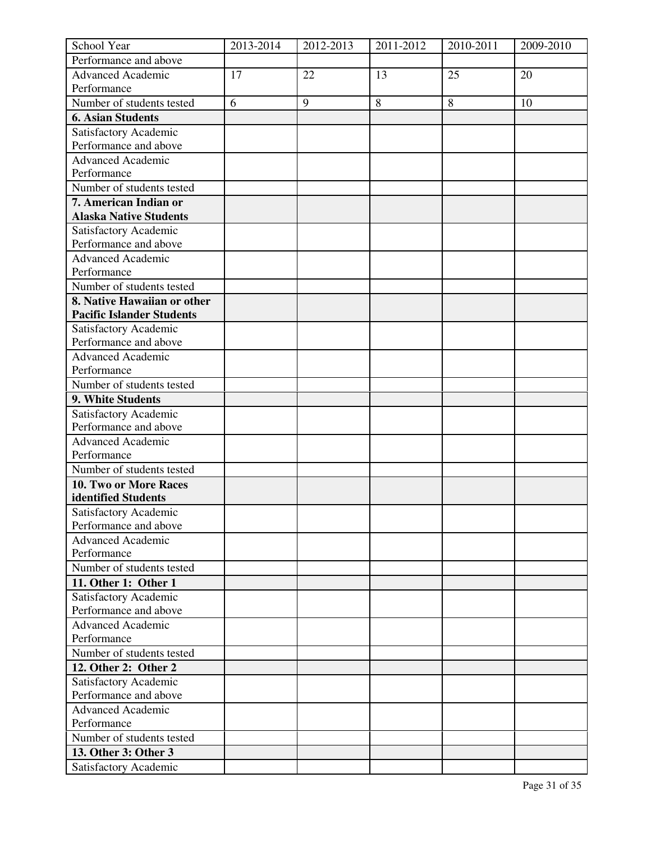| School Year                      | 2013-2014 | 2012-2013 | 2011-2012 | 2010-2011 | 2009-2010 |
|----------------------------------|-----------|-----------|-----------|-----------|-----------|
| Performance and above            |           |           |           |           |           |
| <b>Advanced Academic</b>         | 17        | 22        | 13        | 25        | 20        |
| Performance                      |           |           |           |           |           |
| Number of students tested        | 6         | 9         | $\,8\,$   | 8         | 10        |
| <b>6. Asian Students</b>         |           |           |           |           |           |
| Satisfactory Academic            |           |           |           |           |           |
| Performance and above            |           |           |           |           |           |
| Advanced Academic                |           |           |           |           |           |
| Performance                      |           |           |           |           |           |
| Number of students tested        |           |           |           |           |           |
| 7. American Indian or            |           |           |           |           |           |
| <b>Alaska Native Students</b>    |           |           |           |           |           |
| Satisfactory Academic            |           |           |           |           |           |
| Performance and above            |           |           |           |           |           |
| <b>Advanced Academic</b>         |           |           |           |           |           |
| Performance                      |           |           |           |           |           |
| Number of students tested        |           |           |           |           |           |
| 8. Native Hawaiian or other      |           |           |           |           |           |
| <b>Pacific Islander Students</b> |           |           |           |           |           |
| Satisfactory Academic            |           |           |           |           |           |
| Performance and above            |           |           |           |           |           |
| <b>Advanced Academic</b>         |           |           |           |           |           |
| Performance                      |           |           |           |           |           |
| Number of students tested        |           |           |           |           |           |
| 9. White Students                |           |           |           |           |           |
|                                  |           |           |           |           |           |
| Satisfactory Academic            |           |           |           |           |           |
| Performance and above            |           |           |           |           |           |
| <b>Advanced Academic</b>         |           |           |           |           |           |
| Performance                      |           |           |           |           |           |
| Number of students tested        |           |           |           |           |           |
| 10. Two or More Races            |           |           |           |           |           |
| identified Students              |           |           |           |           |           |
| Satisfactory Academic            |           |           |           |           |           |
| Performance and above            |           |           |           |           |           |
| <b>Advanced Academic</b>         |           |           |           |           |           |
| Performance                      |           |           |           |           |           |
| Number of students tested        |           |           |           |           |           |
| 11. Other 1: Other 1             |           |           |           |           |           |
| Satisfactory Academic            |           |           |           |           |           |
| Performance and above            |           |           |           |           |           |
| <b>Advanced Academic</b>         |           |           |           |           |           |
| Performance                      |           |           |           |           |           |
| Number of students tested        |           |           |           |           |           |
| 12. Other 2: Other 2             |           |           |           |           |           |
| Satisfactory Academic            |           |           |           |           |           |
| Performance and above            |           |           |           |           |           |
| <b>Advanced Academic</b>         |           |           |           |           |           |
| Performance                      |           |           |           |           |           |
| Number of students tested        |           |           |           |           |           |
| 13. Other 3: Other 3             |           |           |           |           |           |
| Satisfactory Academic            |           |           |           |           |           |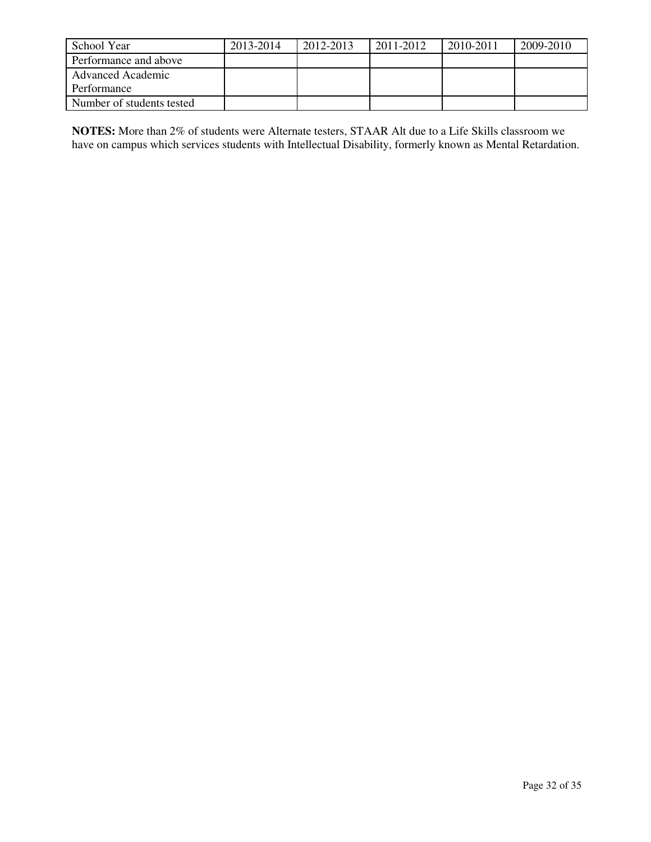| School Year               | 2013-2014 | 2012-2013 | 2011-2012 | 2010-2011 | 2009-2010 |
|---------------------------|-----------|-----------|-----------|-----------|-----------|
| Performance and above     |           |           |           |           |           |
| <b>Advanced Academic</b>  |           |           |           |           |           |
| Performance               |           |           |           |           |           |
| Number of students tested |           |           |           |           |           |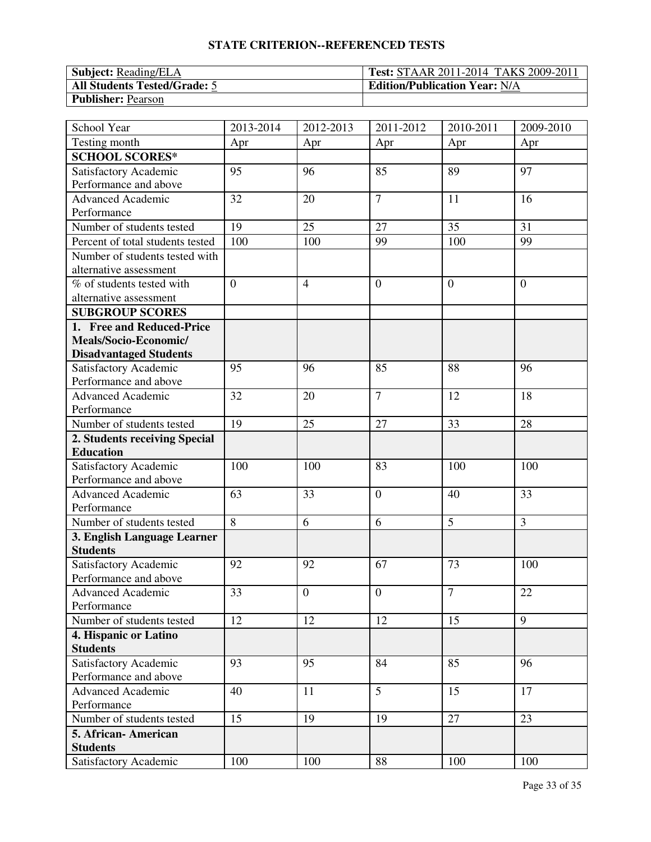| <b>Subject:</b> Reading/ELA         | <b>Test: STAAR 2011-2014 TAKS 2009-2011</b> |
|-------------------------------------|---------------------------------------------|
| <b>All Students Tested/Grade: 5</b> | <b>Edition/Publication Year: N/A</b>        |
| <b>Publisher: Pearson</b>           |                                             |

| School Year                      | 2013-2014      | $\overline{20}$ 12-2013 | 2011-2012        | $\overline{20}10 - 2011$ | 2009-2010 |
|----------------------------------|----------------|-------------------------|------------------|--------------------------|-----------|
| Testing month                    | Apr            | Apr                     | Apr              | Apr                      | Apr       |
| <b>SCHOOL SCORES*</b>            |                |                         |                  |                          |           |
| Satisfactory Academic            | 95             | 96                      | 85               | 89                       | 97        |
| Performance and above            |                |                         |                  |                          |           |
| Advanced Academic                | 32             | 20                      | $\overline{7}$   | 11                       | 16        |
| Performance                      |                |                         |                  |                          |           |
| Number of students tested        | 19             | 25                      | 27               | 35                       | 31        |
| Percent of total students tested | 100            | 100                     | 99               | 100                      | 99        |
| Number of students tested with   |                |                         |                  |                          |           |
| alternative assessment           |                |                         |                  |                          |           |
| % of students tested with        | $\overline{0}$ | $\overline{4}$          | $\boldsymbol{0}$ | $\overline{0}$           | $\theta$  |
| alternative assessment           |                |                         |                  |                          |           |
| <b>SUBGROUP SCORES</b>           |                |                         |                  |                          |           |
| 1. Free and Reduced-Price        |                |                         |                  |                          |           |
| Meals/Socio-Economic/            |                |                         |                  |                          |           |
| <b>Disadvantaged Students</b>    |                |                         |                  |                          |           |
| Satisfactory Academic            | 95             | 96                      | 85               | 88                       | 96        |
| Performance and above            |                |                         |                  |                          |           |
| <b>Advanced Academic</b>         | 32             | 20                      | $\overline{7}$   | 12                       | 18        |
| Performance                      |                |                         |                  |                          |           |
| Number of students tested        | 19             | 25                      | 27               | 33                       | 28        |
| 2. Students receiving Special    |                |                         |                  |                          |           |
| <b>Education</b>                 |                |                         |                  |                          |           |
| Satisfactory Academic            | 100            | 100                     | 83               | 100                      | 100       |
| Performance and above            |                |                         |                  |                          |           |
| <b>Advanced Academic</b>         | 63             | 33                      | $\boldsymbol{0}$ | 40                       | 33        |
| Performance                      |                |                         |                  |                          |           |
| Number of students tested        | 8              | 6                       | 6                | 5                        | 3         |
| 3. English Language Learner      |                |                         |                  |                          |           |
| <b>Students</b>                  |                |                         |                  |                          |           |
| Satisfactory Academic            | 92             | 92                      | 67               | 73                       | 100       |
| Performance and above            |                |                         |                  |                          |           |
| Advanced Academic                | 33             | $\boldsymbol{0}$        | $\mathbf{0}$     | $\overline{7}$           | 22        |
| Performance                      |                |                         |                  |                          |           |
| Number of students tested        | 12             | 12                      | 12               | 15                       | 9         |
| 4. Hispanic or Latino            |                |                         |                  |                          |           |
| <b>Students</b>                  |                |                         |                  |                          |           |
| Satisfactory Academic            | 93             | 95                      | 84               | 85                       | 96        |
| Performance and above            |                |                         |                  |                          |           |
| Advanced Academic                | 40             | 11                      | $\overline{5}$   | 15                       | 17        |
| Performance                      |                |                         |                  |                          |           |
| Number of students tested        | 15             | 19                      | 19               | 27                       | 23        |
| 5. African-American              |                |                         |                  |                          |           |
| <b>Students</b>                  |                |                         |                  |                          |           |
| Satisfactory Academic            | 100            | 100                     | 88               | 100                      | 100       |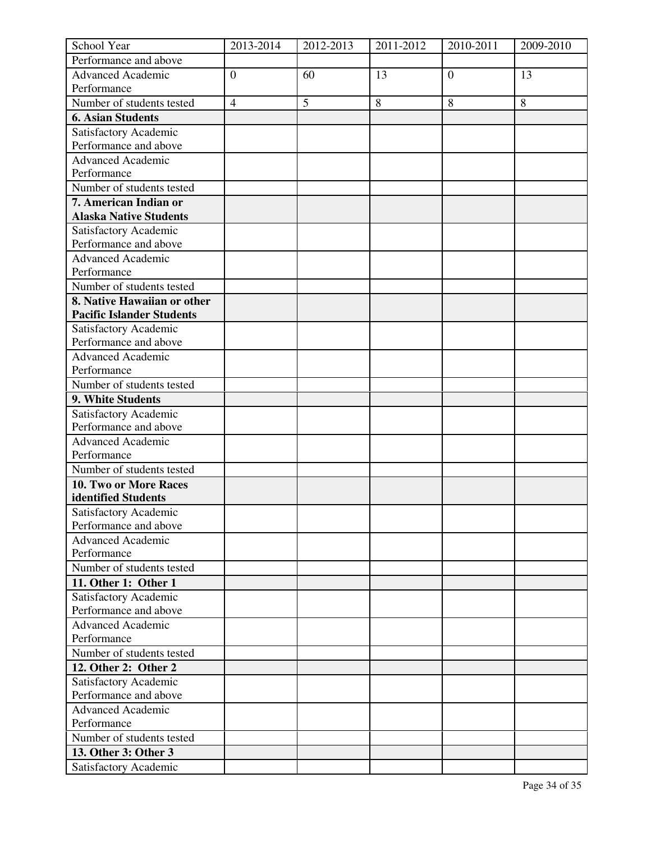| School Year                      | 2013-2014      | 2012-2013 | 2011-2012 | 2010-2011      | 2009-2010 |
|----------------------------------|----------------|-----------|-----------|----------------|-----------|
| Performance and above            |                |           |           |                |           |
| <b>Advanced Academic</b>         | $\overline{0}$ | 60        | 13        | $\overline{0}$ | 13        |
| Performance                      |                |           |           |                |           |
| Number of students tested        | $\overline{4}$ | 5         | $\,8\,$   | 8              | 8         |
| <b>6. Asian Students</b>         |                |           |           |                |           |
| Satisfactory Academic            |                |           |           |                |           |
| Performance and above            |                |           |           |                |           |
| Advanced Academic                |                |           |           |                |           |
| Performance                      |                |           |           |                |           |
| Number of students tested        |                |           |           |                |           |
| 7. American Indian or            |                |           |           |                |           |
| <b>Alaska Native Students</b>    |                |           |           |                |           |
| Satisfactory Academic            |                |           |           |                |           |
| Performance and above            |                |           |           |                |           |
| <b>Advanced Academic</b>         |                |           |           |                |           |
| Performance                      |                |           |           |                |           |
| Number of students tested        |                |           |           |                |           |
| 8. Native Hawaiian or other      |                |           |           |                |           |
| <b>Pacific Islander Students</b> |                |           |           |                |           |
| Satisfactory Academic            |                |           |           |                |           |
| Performance and above            |                |           |           |                |           |
| <b>Advanced Academic</b>         |                |           |           |                |           |
| Performance                      |                |           |           |                |           |
| Number of students tested        |                |           |           |                |           |
| 9. White Students                |                |           |           |                |           |
| Satisfactory Academic            |                |           |           |                |           |
| Performance and above            |                |           |           |                |           |
| <b>Advanced Academic</b>         |                |           |           |                |           |
| Performance                      |                |           |           |                |           |
| Number of students tested        |                |           |           |                |           |
| 10. Two or More Races            |                |           |           |                |           |
| identified Students              |                |           |           |                |           |
| Satisfactory Academic            |                |           |           |                |           |
| Performance and above            |                |           |           |                |           |
| <b>Advanced Academic</b>         |                |           |           |                |           |
| Performance                      |                |           |           |                |           |
| Number of students tested        |                |           |           |                |           |
| 11. Other 1: Other 1             |                |           |           |                |           |
| Satisfactory Academic            |                |           |           |                |           |
| Performance and above            |                |           |           |                |           |
| <b>Advanced Academic</b>         |                |           |           |                |           |
| Performance                      |                |           |           |                |           |
| Number of students tested        |                |           |           |                |           |
| 12. Other 2: Other 2             |                |           |           |                |           |
| Satisfactory Academic            |                |           |           |                |           |
| Performance and above            |                |           |           |                |           |
| <b>Advanced Academic</b>         |                |           |           |                |           |
| Performance                      |                |           |           |                |           |
| Number of students tested        |                |           |           |                |           |
| 13. Other 3: Other 3             |                |           |           |                |           |
| Satisfactory Academic            |                |           |           |                |           |